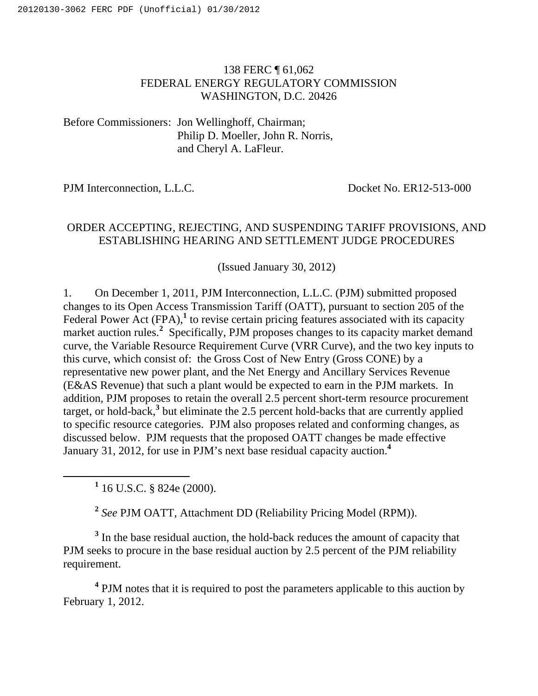## 138 FERC ¶ 61,062 FEDERAL ENERGY REGULATORY COMMISSION WASHINGTON, D.C. 20426

Before Commissioners: Jon Wellinghoff, Chairman; Philip D. Moeller, John R. Norris, and Cheryl A. LaFleur.

PJM Interconnection, L.L.C. Docket No. ER12-513-000

## ORDER ACCEPTING, REJECTING, AND SUSPENDING TARIFF PROVISIONS, AND ESTABLISHING HEARING AND SETTLEMENT JUDGE PROCEDURES

(Issued January 30, 2012)

1. On December 1, 2011, PJM Interconnection, L.L.C. (PJM) submitted proposed changes to its Open Access Transmission Tariff (OATT), pursuant to section 205 of the Federal Power Act (FPA),<sup>1</sup> to revise certain pricing features associated with its capacity market auction rules.<sup>2</sup> Specifically, PJM proposes changes to its capacity market demand curve, the Variable Resource Requirement Curve (VRR Curve), and the two key inputs to this curve, which consist of: the Gross Cost of New Entry (Gross CONE) by a representative new power plant, and the Net Energy and Ancillary Services Revenue (E&AS Revenue) that such a plant would be expected to earn in the PJM markets. In addition, PJM proposes to retain the overall 2.5 percent short-term resource procurement target, or hold-back,**<sup>3</sup>** but eliminate the 2.5 percent hold-backs that are currently applied to specific resource categories. PJM also proposes related and conforming changes, as discussed below. PJM requests that the proposed OATT changes be made effective January 31, 2012, for use in PJM's next base residual capacity auction.**<sup>4</sup>**

<u>1</u>  $1$  16 U.S.C. § 824e (2000).

**<sup>2</sup>** *See* PJM OATT, Attachment DD (Reliability Pricing Model (RPM)).

<sup>3</sup> In the base residual auction, the hold-back reduces the amount of capacity that PJM seeks to procure in the base residual auction by 2.5 percent of the PJM reliability requirement.

<sup>4</sup> PJM notes that it is required to post the parameters applicable to this auction by February 1, 2012.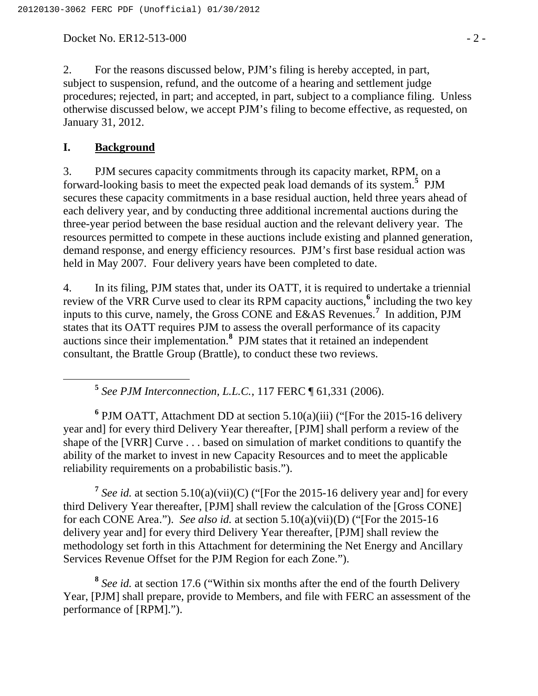Docket No. ER12-513-000 - 2 -

2. For the reasons discussed below, PJM's filing is hereby accepted, in part, subject to suspension, refund, and the outcome of a hearing and settlement judge procedures; rejected, in part; and accepted, in part, subject to a compliance filing. Unless otherwise discussed below, we accept PJM's filing to become effective, as requested, on January 31, 2012.

### **I. Background**

3. PJM secures capacity commitments through its capacity market, RPM, on a forward-looking basis to meet the expected peak load demands of its system.**<sup>5</sup>** PJM secures these capacity commitments in a base residual auction, held three years ahead of each delivery year, and by conducting three additional incremental auctions during the three-year period between the base residual auction and the relevant delivery year. The resources permitted to compete in these auctions include existing and planned generation, demand response, and energy efficiency resources. PJM's first base residual action was held in May 2007. Four delivery years have been completed to date.

4. In its filing, PJM states that, under its OATT, it is required to undertake a triennial review of the VRR Curve used to clear its RPM capacity auctions,**<sup>6</sup>** including the two key inputs to this curve, namely, the Gross CONE and E&AS Revenues.**<sup>7</sup>** In addition, PJM states that its OATT requires PJM to assess the overall performance of its capacity auctions since their implementation.**<sup>8</sup>** PJM states that it retained an independent consultant, the Brattle Group (Brattle), to conduct these two reviews.

**<sup>5</sup>** *See PJM Interconnection, L.L.C.*, 117 FERC ¶ 61,331 (2006).

<sup>6</sup> PJM OATT, Attachment DD at section 5.10(a)(iii) ("[For the 2015-16 delivery year and] for every third Delivery Year thereafter, [PJM] shall perform a review of the shape of the [VRR] Curve . . . based on simulation of market conditions to quantify the ability of the market to invest in new Capacity Resources and to meet the applicable reliability requirements on a probabilistic basis.").

**<sup>7</sup>** *See id.* at section 5.10(a)(vii)(C) ("[For the 2015-16 delivery year and] for every third Delivery Year thereafter, [PJM] shall review the calculation of the [Gross CONE] for each CONE Area."). *See also id.* at section 5.10(a)(vii)(D) ("[For the 2015-16 delivery year and] for every third Delivery Year thereafter, [PJM] shall review the methodology set forth in this Attachment for determining the Net Energy and Ancillary Services Revenue Offset for the PJM Region for each Zone.").

**<sup>8</sup>** *See id.* at section 17.6 ("Within six months after the end of the fourth Delivery Year, [PJM] shall prepare, provide to Members, and file with FERC an assessment of the performance of [RPM].").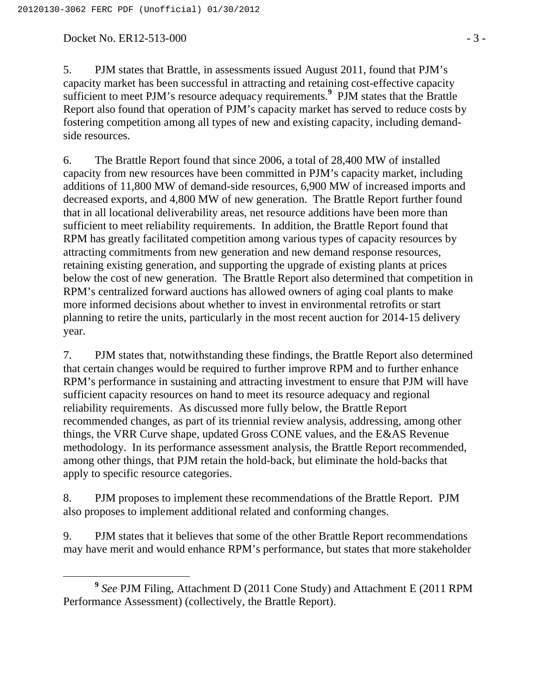Docket No. ER12-513-000 - 3 -

5. PJM states that Brattle, in assessments issued August 2011, found that PJM's capacity market has been successful in attracting and retaining cost-effective capacity sufficient to meet PJM's resource adequacy requirements.<sup>9</sup> PJM states that the Brattle Report also found that operation of PJM's capacity market has served to reduce costs by fostering competition among all types of new and existing capacity, including demandside resources.

6. The Brattle Report found that since 2006, a total of 28,400 MW of installed capacity from new resources have been committed in PJM's capacity market, including additions of 11,800 MW of demand-side resources, 6,900 MW of increased imports and decreased exports, and 4,800 MW of new generation. The Brattle Report further found that in all locational deliverability areas, net resource additions have been more than sufficient to meet reliability requirements. In addition, the Brattle Report found that RPM has greatly facilitated competition among various types of capacity resources by attracting commitments from new generation and new demand response resources, retaining existing generation, and supporting the upgrade of existing plants at prices below the cost of new generation. The Brattle Report also determined that competition in RPM's centralized forward auctions has allowed owners of aging coal plants to make more informed decisions about whether to invest in environmental retrofits or start planning to retire the units, particularly in the most recent auction for 2014-15 delivery year.

7. PJM states that, notwithstanding these findings, the Brattle Report also determined that certain changes would be required to further improve RPM and to further enhance RPM's performance in sustaining and attracting investment to ensure that PJM will have sufficient capacity resources on hand to meet its resource adequacy and regional reliability requirements. As discussed more fully below, the Brattle Report recommended changes, as part of its triennial review analysis, addressing, among other things, the VRR Curve shape, updated Gross CONE values, and the E&AS Revenue methodology. In its performance assessment analysis, the Brattle Report recommended, among other things, that PJM retain the hold-back, but eliminate the hold-backs that apply to specific resource categories.

8. PJM proposes to implement these recommendations of the Brattle Report. PJM also proposes to implement additional related and conforming changes.

9. PJM states that it believes that some of the other Brattle Report recommendations may have merit and would enhance RPM's performance, but states that more stakeholder

**<sup>9</sup>** *See* PJM Filing, Attachment D (2011 Cone Study) and Attachment E (2011 RPM Performance Assessment) (collectively, the Brattle Report).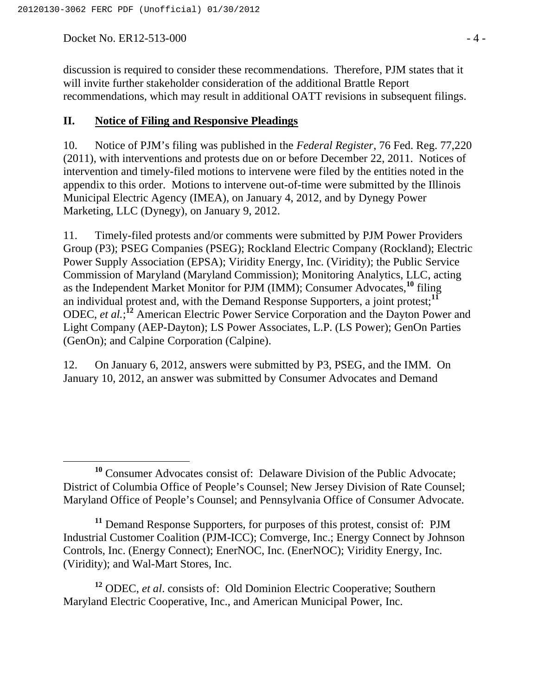Docket No. ER12-513-000 - 4 -

discussion is required to consider these recommendations. Therefore, PJM states that it will invite further stakeholder consideration of the additional Brattle Report recommendations, which may result in additional OATT revisions in subsequent filings.

#### **II. Notice of Filing and Responsive Pleadings**

10. Notice of PJM's filing was published in the *Federal Register*, 76 Fed. Reg. 77,220 (2011), with interventions and protests due on or before December 22, 2011. Notices of intervention and timely-filed motions to intervene were filed by the entities noted in the appendix to this order. Motions to intervene out-of-time were submitted by the Illinois Municipal Electric Agency (IMEA), on January 4, 2012, and by Dynegy Power Marketing, LLC (Dynegy), on January 9, 2012.

11. Timely-filed protests and/or comments were submitted by PJM Power Providers Group (P3); PSEG Companies (PSEG); Rockland Electric Company (Rockland); Electric Power Supply Association (EPSA); Viridity Energy, Inc. (Viridity); the Public Service Commission of Maryland (Maryland Commission); Monitoring Analytics, LLC, acting as the Independent Market Monitor for PJM (IMM); Consumer Advocates,**<sup>10</sup>** filing an individual protest and, with the Demand Response Supporters, a joint protest;**<sup>11</sup>** ODEC, et al.;<sup>12</sup> American Electric Power Service Corporation and the Dayton Power and Light Company (AEP-Dayton); LS Power Associates, L.P. (LS Power); GenOn Parties (GenOn); and Calpine Corporation (Calpine).

12. On January 6, 2012, answers were submitted by P3, PSEG, and the IMM. On January 10, 2012, an answer was submitted by Consumer Advocates and Demand

<sup>&</sup>lt;sup>10</sup> Consumer Advocates consist of: Delaware Division of the Public Advocate; District of Columbia Office of People's Counsel; New Jersey Division of Rate Counsel; Maryland Office of People's Counsel; and Pennsylvania Office of Consumer Advocate.

**<sup>11</sup>** Demand Response Supporters, for purposes of this protest, consist of: PJM Industrial Customer Coalition (PJM-ICC); Comverge, Inc.; Energy Connect by Johnson Controls, Inc. (Energy Connect); EnerNOC, Inc. (EnerNOC); Viridity Energy, Inc. (Viridity); and Wal-Mart Stores, Inc.

**<sup>12</sup>** ODEC, *et al*. consists of: Old Dominion Electric Cooperative; Southern Maryland Electric Cooperative, Inc., and American Municipal Power, Inc.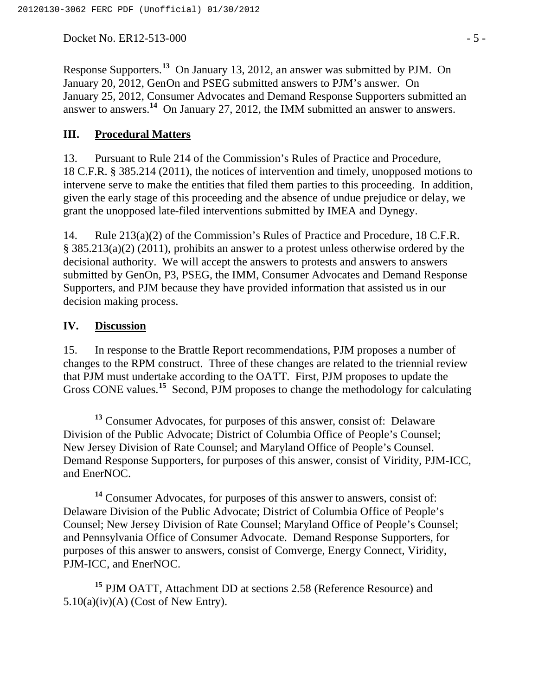Docket No. ER12-513-000 - 5 -

Response Supporters.**<sup>13</sup>** On January 13, 2012, an answer was submitted by PJM. On January 20, 2012, GenOn and PSEG submitted answers to PJM's answer. On January 25, 2012, Consumer Advocates and Demand Response Supporters submitted an answer to answers.**<sup>14</sup>** On January 27, 2012, the IMM submitted an answer to answers.

### **III. Procedural Matters**

13. Pursuant to Rule 214 of the Commission's Rules of Practice and Procedure, 18 C.F.R. § 385.214 (2011), the notices of intervention and timely, unopposed motions to intervene serve to make the entities that filed them parties to this proceeding. In addition, given the early stage of this proceeding and the absence of undue prejudice or delay, we grant the unopposed late-filed interventions submitted by IMEA and Dynegy.

14. Rule 213(a)(2) of the Commission's Rules of Practice and Procedure, 18 C.F.R. § 385.213(a)(2) (2011), prohibits an answer to a protest unless otherwise ordered by the decisional authority. We will accept the answers to protests and answers to answers submitted by GenOn, P3, PSEG, the IMM, Consumer Advocates and Demand Response Supporters, and PJM because they have provided information that assisted us in our decision making process.

#### **IV. Discussion**

15. In response to the Brattle Report recommendations, PJM proposes a number of changes to the RPM construct. Three of these changes are related to the triennial review that PJM must undertake according to the OATT. First, PJM proposes to update the Gross CONE values.**<sup>15</sup>** Second, PJM proposes to change the methodology for calculating

**<sup>14</sup>** Consumer Advocates, for purposes of this answer to answers, consist of: Delaware Division of the Public Advocate; District of Columbia Office of People's Counsel; New Jersey Division of Rate Counsel; Maryland Office of People's Counsel; and Pennsylvania Office of Consumer Advocate. Demand Response Supporters, for purposes of this answer to answers, consist of Comverge, Energy Connect, Viridity, PJM-ICC, and EnerNOC.

**<sup>15</sup>** PJM OATT, Attachment DD at sections 2.58 (Reference Resource) and  $5.10(a)(iv)(A)$  (Cost of New Entry).

**<sup>13</sup>** Consumer Advocates, for purposes of this answer, consist of: Delaware Division of the Public Advocate; District of Columbia Office of People's Counsel; New Jersey Division of Rate Counsel; and Maryland Office of People's Counsel. Demand Response Supporters, for purposes of this answer, consist of Viridity, PJM-ICC, and EnerNOC.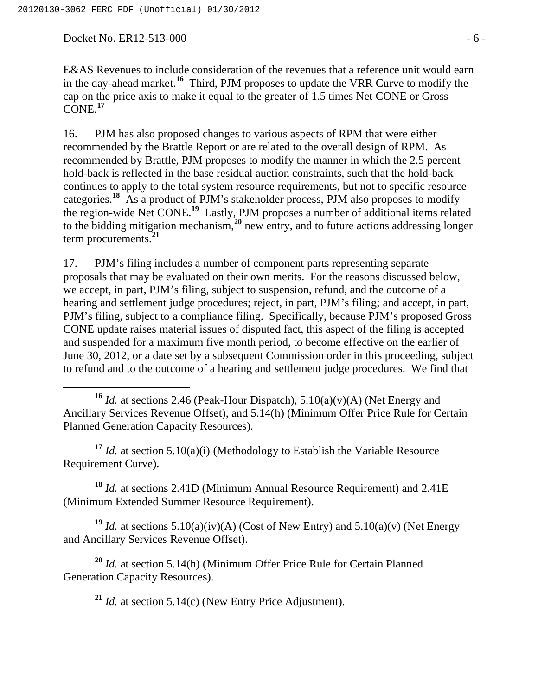Docket No. ER12-513-000 - 6 -

E&AS Revenues to include consideration of the revenues that a reference unit would earn in the day-ahead market.**<sup>16</sup>** Third, PJM proposes to update the VRR Curve to modify the cap on the price axis to make it equal to the greater of 1.5 times Net CONE or Gross CONE.**<sup>17</sup>**

16. PJM has also proposed changes to various aspects of RPM that were either recommended by the Brattle Report or are related to the overall design of RPM. As recommended by Brattle, PJM proposes to modify the manner in which the 2.5 percent hold-back is reflected in the base residual auction constraints, such that the hold-back continues to apply to the total system resource requirements, but not to specific resource categories.**<sup>18</sup>** As a product of PJM's stakeholder process, PJM also proposes to modify the region-wide Net CONE.**<sup>19</sup>** Lastly, PJM proposes a number of additional items related to the bidding mitigation mechanism,**<sup>20</sup>** new entry, and to future actions addressing longer term procurements.**<sup>21</sup>**

17. PJM's filing includes a number of component parts representing separate proposals that may be evaluated on their own merits. For the reasons discussed below, we accept, in part, PJM's filing, subject to suspension, refund, and the outcome of a hearing and settlement judge procedures; reject, in part, PJM's filing; and accept, in part, PJM's filing, subject to a compliance filing. Specifically, because PJM's proposed Gross CONE update raises material issues of disputed fact, this aspect of the filing is accepted and suspended for a maximum five month period, to become effective on the earlier of June 30, 2012, or a date set by a subsequent Commission order in this proceeding, subject to refund and to the outcome of a hearing and settlement judge procedures. We find that

**<sup>17</sup>** *Id.* at section 5.10(a)(i) (Methodology to Establish the Variable Resource Requirement Curve).

**<sup>18</sup>** *Id.* at sections 2.41D (Minimum Annual Resource Requirement) and 2.41E (Minimum Extended Summer Resource Requirement).

**<sup>19</sup>** *Id.* at sections 5.10(a)(iv)(A) (Cost of New Entry) and 5.10(a)(v) (Net Energy and Ancillary Services Revenue Offset).

**<sup>20</sup>** *Id.* at section 5.14(h) (Minimum Offer Price Rule for Certain Planned Generation Capacity Resources).

**<sup>21</sup>** *Id.* at section 5.14(c) (New Entry Price Adjustment).

**<sup>16</sup>** *Id.* at sections 2.46 (Peak-Hour Dispatch), 5.10(a)(v)(A) (Net Energy and Ancillary Services Revenue Offset), and 5.14(h) (Minimum Offer Price Rule for Certain Planned Generation Capacity Resources).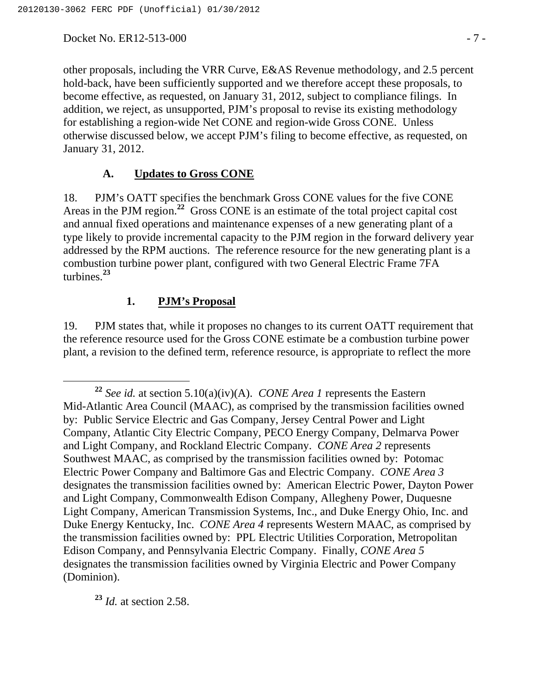Docket No. ER12-513-000 - 7 -

other proposals, including the VRR Curve, E&AS Revenue methodology, and 2.5 percent hold-back, have been sufficiently supported and we therefore accept these proposals, to become effective, as requested, on January 31, 2012, subject to compliance filings. In addition, we reject, as unsupported, PJM's proposal to revise its existing methodology for establishing a region-wide Net CONE and region-wide Gross CONE. Unless otherwise discussed below, we accept PJM's filing to become effective, as requested, on January 31, 2012.

#### **A. Updates to Gross CONE**

18. PJM's OATT specifies the benchmark Gross CONE values for the five CONE Areas in the PJM region.<sup>22</sup> Gross CONE is an estimate of the total project capital cost and annual fixed operations and maintenance expenses of a new generating plant of a type likely to provide incremental capacity to the PJM region in the forward delivery year addressed by the RPM auctions. The reference resource for the new generating plant is a combustion turbine power plant, configured with two General Electric Frame 7FA turbines.**<sup>23</sup>**

#### **1. PJM's Proposal**

19. PJM states that, while it proposes no changes to its current OATT requirement that the reference resource used for the Gross CONE estimate be a combustion turbine power plant, a revision to the defined term, reference resource, is appropriate to reflect the more

**<sup>23</sup>** *Id.* at section 2.58.

**<sup>22</sup>** *See id.* at section 5.10(a)(iv)(A). *CONE Area 1* represents the Eastern Mid-Atlantic Area Council (MAAC), as comprised by the transmission facilities owned by: Public Service Electric and Gas Company, Jersey Central Power and Light Company, Atlantic City Electric Company, PECO Energy Company, Delmarva Power and Light Company, and Rockland Electric Company. *CONE Area 2* represents Southwest MAAC, as comprised by the transmission facilities owned by: Potomac Electric Power Company and Baltimore Gas and Electric Company. *CONE Area 3* designates the transmission facilities owned by: American Electric Power, Dayton Power and Light Company, Commonwealth Edison Company, Allegheny Power, Duquesne Light Company, American Transmission Systems, Inc., and Duke Energy Ohio, Inc. and Duke Energy Kentucky, Inc. *CONE Area 4* represents Western MAAC, as comprised by the transmission facilities owned by: PPL Electric Utilities Corporation, Metropolitan Edison Company, and Pennsylvania Electric Company. Finally, *CONE Area 5* designates the transmission facilities owned by Virginia Electric and Power Company (Dominion).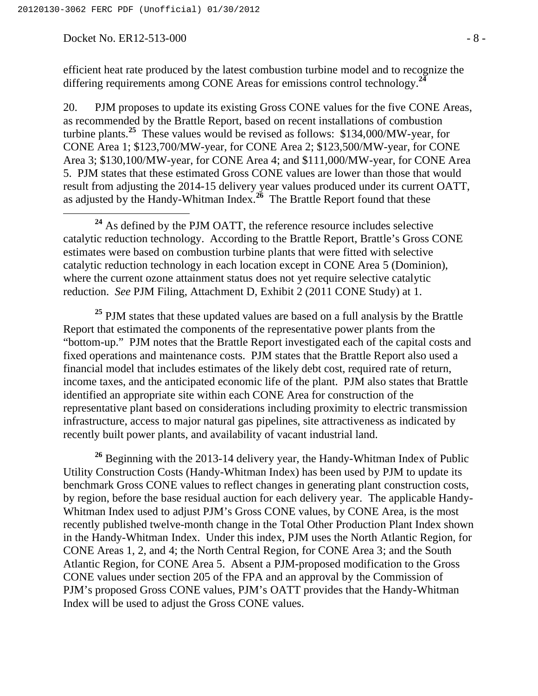#### Docket No. ER12-513-000 - 8 -

efficient heat rate produced by the latest combustion turbine model and to recognize the differing requirements among CONE Areas for emissions control technology.**<sup>24</sup>**

20. PJM proposes to update its existing Gross CONE values for the five CONE Areas, as recommended by the Brattle Report, based on recent installations of combustion turbine plants.**<sup>25</sup>** These values would be revised as follows: \$134,000/MW-year, for CONE Area 1; \$123,700/MW-year, for CONE Area 2; \$123,500/MW-year, for CONE Area 3; \$130,100/MW-year, for CONE Area 4; and \$111,000/MW-year, for CONE Area 5. PJM states that these estimated Gross CONE values are lower than those that would result from adjusting the 2014-15 delivery year values produced under its current OATT, as adjusted by the Handy-Whitman Index.**<sup>26</sup>** The Brattle Report found that these

 **<sup>24</sup>** As defined by the PJM OATT, the reference resource includes selective catalytic reduction technology. According to the Brattle Report, Brattle's Gross CONE estimates were based on combustion turbine plants that were fitted with selective catalytic reduction technology in each location except in CONE Area 5 (Dominion), where the current ozone attainment status does not yet require selective catalytic reduction. *See* PJM Filing, Attachment D, Exhibit 2 (2011 CONE Study) at 1.

<sup>25</sup> PJM states that these updated values are based on a full analysis by the Brattle Report that estimated the components of the representative power plants from the "bottom-up." PJM notes that the Brattle Report investigated each of the capital costs and fixed operations and maintenance costs. PJM states that the Brattle Report also used a financial model that includes estimates of the likely debt cost, required rate of return, income taxes, and the anticipated economic life of the plant. PJM also states that Brattle identified an appropriate site within each CONE Area for construction of the representative plant based on considerations including proximity to electric transmission infrastructure, access to major natural gas pipelines, site attractiveness as indicated by recently built power plants, and availability of vacant industrial land.

**<sup>26</sup>** Beginning with the 2013-14 delivery year, the Handy-Whitman Index of Public Utility Construction Costs (Handy-Whitman Index) has been used by PJM to update its benchmark Gross CONE values to reflect changes in generating plant construction costs, by region, before the base residual auction for each delivery year. The applicable Handy-Whitman Index used to adjust PJM's Gross CONE values, by CONE Area, is the most recently published twelve-month change in the Total Other Production Plant Index shown in the Handy-Whitman Index. Under this index, PJM uses the North Atlantic Region, for CONE Areas 1, 2, and 4; the North Central Region, for CONE Area 3; and the South Atlantic Region, for CONE Area 5. Absent a PJM-proposed modification to the Gross CONE values under section 205 of the FPA and an approval by the Commission of PJM's proposed Gross CONE values, PJM's OATT provides that the Handy-Whitman Index will be used to adjust the Gross CONE values.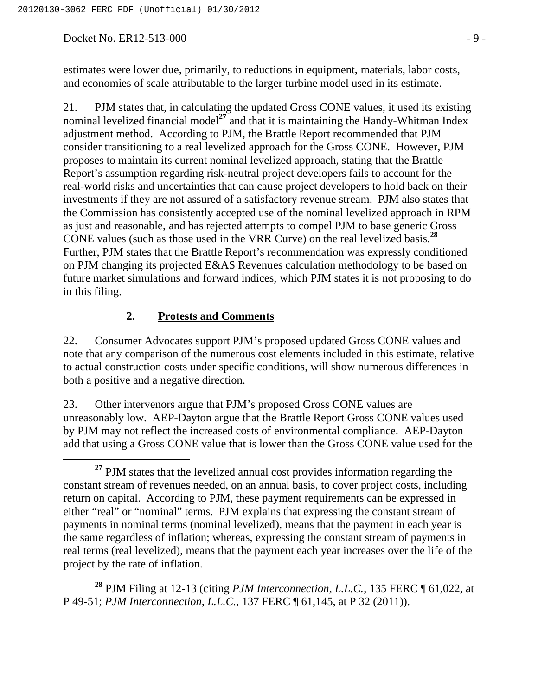Docket No. ER12-513-000 - 9 -

estimates were lower due, primarily, to reductions in equipment, materials, labor costs, and economies of scale attributable to the larger turbine model used in its estimate.

21. PJM states that, in calculating the updated Gross CONE values, it used its existing nominal levelized financial model<sup>27</sup> and that it is maintaining the Handy-Whitman Index adjustment method. According to PJM, the Brattle Report recommended that PJM consider transitioning to a real levelized approach for the Gross CONE. However, PJM proposes to maintain its current nominal levelized approach, stating that the Brattle Report's assumption regarding risk-neutral project developers fails to account for the real-world risks and uncertainties that can cause project developers to hold back on their investments if they are not assured of a satisfactory revenue stream. PJM also states that the Commission has consistently accepted use of the nominal levelized approach in RPM as just and reasonable, and has rejected attempts to compel PJM to base generic Gross CONE values (such as those used in the VRR Curve) on the real levelized basis.**<sup>28</sup>** Further, PJM states that the Brattle Report's recommendation was expressly conditioned on PJM changing its projected E&AS Revenues calculation methodology to be based on future market simulations and forward indices, which PJM states it is not proposing to do in this filing.

#### **2. Protests and Comments**

22. Consumer Advocates support PJM's proposed updated Gross CONE values and note that any comparison of the numerous cost elements included in this estimate, relative to actual construction costs under specific conditions, will show numerous differences in both a positive and a negative direction.

23. Other intervenors argue that PJM's proposed Gross CONE values are unreasonably low. AEP-Dayton argue that the Brattle Report Gross CONE values used by PJM may not reflect the increased costs of environmental compliance. AEP-Dayton add that using a Gross CONE value that is lower than the Gross CONE value used for the

**<sup>28</sup>** PJM Filing at 12-13 (citing *PJM Interconnection, L.L.C.*, 135 FERC ¶ 61,022, at P 49-51; *PJM Interconnection, L.L.C.,* 137 FERC ¶ 61,145, at P 32 (2011)).

**<sup>27</sup>** PJM states that the levelized annual cost provides information regarding the constant stream of revenues needed, on an annual basis, to cover project costs, including return on capital. According to PJM, these payment requirements can be expressed in either "real" or "nominal" terms. PJM explains that expressing the constant stream of payments in nominal terms (nominal levelized), means that the payment in each year is the same regardless of inflation; whereas, expressing the constant stream of payments in real terms (real levelized), means that the payment each year increases over the life of the project by the rate of inflation.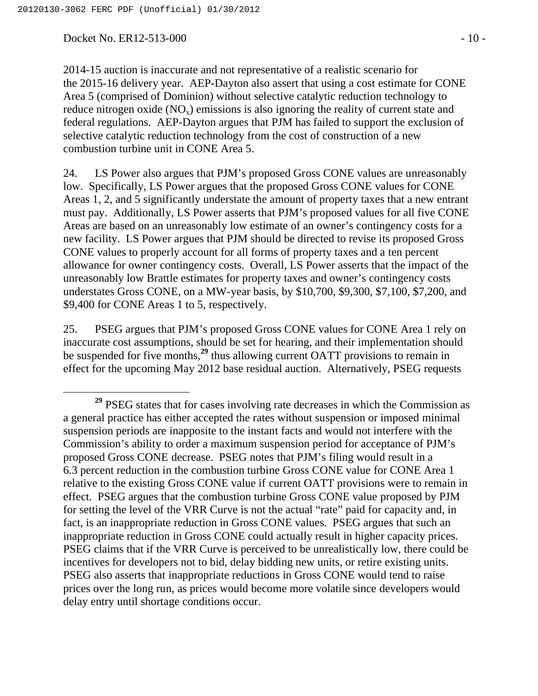Docket No. ER12-513-000 - 10 -

2014-15 auction is inaccurate and not representative of a realistic scenario for the 2015-16 delivery year. AEP-Dayton also assert that using a cost estimate for CONE Area 5 (comprised of Dominion) without selective catalytic reduction technology to reduce nitrogen oxide  $(NO_x)$  emissions is also ignoring the reality of current state and federal regulations. AEP-Dayton argues that PJM has failed to support the exclusion of selective catalytic reduction technology from the cost of construction of a new combustion turbine unit in CONE Area 5.

24. LS Power also argues that PJM's proposed Gross CONE values are unreasonably low. Specifically, LS Power argues that the proposed Gross CONE values for CONE Areas 1, 2, and 5 significantly understate the amount of property taxes that a new entrant must pay. Additionally, LS Power asserts that PJM's proposed values for all five CONE Areas are based on an unreasonably low estimate of an owner's contingency costs for a new facility. LS Power argues that PJM should be directed to revise its proposed Gross CONE values to properly account for all forms of property taxes and a ten percent allowance for owner contingency costs. Overall, LS Power asserts that the impact of the unreasonably low Brattle estimates for property taxes and owner's contingency costs understates Gross CONE, on a MW-year basis, by \$10,700, \$9,300, \$7,100, \$7,200, and \$9,400 for CONE Areas 1 to 5, respectively.

25. PSEG argues that PJM's proposed Gross CONE values for CONE Area 1 rely on inaccurate cost assumptions, should be set for hearing, and their implementation should be suspended for five months,**<sup>29</sup>** thus allowing current OATT provisions to remain in effect for the upcoming May 2012 base residual auction. Alternatively, PSEG requests

**<sup>29</sup>** PSEG states that for cases involving rate decreases in which the Commission as a general practice has either accepted the rates without suspension or imposed minimal suspension periods are inapposite to the instant facts and would not interfere with the Commission's ability to order a maximum suspension period for acceptance of PJM's proposed Gross CONE decrease. PSEG notes that PJM's filing would result in a 6.3 percent reduction in the combustion turbine Gross CONE value for CONE Area 1 relative to the existing Gross CONE value if current OATT provisions were to remain in effect. PSEG argues that the combustion turbine Gross CONE value proposed by PJM for setting the level of the VRR Curve is not the actual "rate" paid for capacity and, in fact, is an inappropriate reduction in Gross CONE values. PSEG argues that such an inappropriate reduction in Gross CONE could actually result in higher capacity prices. PSEG claims that if the VRR Curve is perceived to be unrealistically low, there could be incentives for developers not to bid, delay bidding new units, or retire existing units. PSEG also asserts that inappropriate reductions in Gross CONE would tend to raise prices over the long run, as prices would become more volatile since developers would delay entry until shortage conditions occur.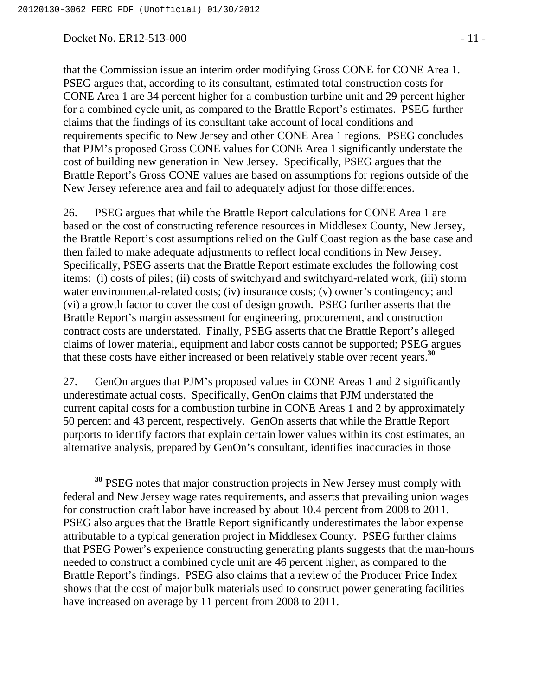#### Docket No. ER12-513-000 - 11 -

that the Commission issue an interim order modifying Gross CONE for CONE Area 1. PSEG argues that, according to its consultant, estimated total construction costs for CONE Area 1 are 34 percent higher for a combustion turbine unit and 29 percent higher for a combined cycle unit, as compared to the Brattle Report's estimates. PSEG further claims that the findings of its consultant take account of local conditions and requirements specific to New Jersey and other CONE Area 1 regions. PSEG concludes that PJM's proposed Gross CONE values for CONE Area 1 significantly understate the cost of building new generation in New Jersey. Specifically, PSEG argues that the Brattle Report's Gross CONE values are based on assumptions for regions outside of the New Jersey reference area and fail to adequately adjust for those differences.

26. PSEG argues that while the Brattle Report calculations for CONE Area 1 are based on the cost of constructing reference resources in Middlesex County, New Jersey, the Brattle Report's cost assumptions relied on the Gulf Coast region as the base case and then failed to make adequate adjustments to reflect local conditions in New Jersey. Specifically, PSEG asserts that the Brattle Report estimate excludes the following cost items: (i) costs of piles; (ii) costs of switchyard and switchyard-related work; (iii) storm water environmental-related costs; (iv) insurance costs; (v) owner's contingency; and (vi) a growth factor to cover the cost of design growth. PSEG further asserts that the Brattle Report's margin assessment for engineering, procurement, and construction contract costs are understated. Finally, PSEG asserts that the Brattle Report's alleged claims of lower material, equipment and labor costs cannot be supported; PSEG argues that these costs have either increased or been relatively stable over recent years.**<sup>30</sup>**

27. GenOn argues that PJM's proposed values in CONE Areas 1 and 2 significantly underestimate actual costs. Specifically, GenOn claims that PJM understated the current capital costs for a combustion turbine in CONE Areas 1 and 2 by approximately 50 percent and 43 percent, respectively. GenOn asserts that while the Brattle Report purports to identify factors that explain certain lower values within its cost estimates, an alternative analysis, prepared by GenOn's consultant, identifies inaccuracies in those

**<sup>30</sup>** PSEG notes that major construction projects in New Jersey must comply with federal and New Jersey wage rates requirements, and asserts that prevailing union wages for construction craft labor have increased by about 10.4 percent from 2008 to 2011. PSEG also argues that the Brattle Report significantly underestimates the labor expense attributable to a typical generation project in Middlesex County. PSEG further claims that PSEG Power's experience constructing generating plants suggests that the man-hours needed to construct a combined cycle unit are 46 percent higher, as compared to the Brattle Report's findings. PSEG also claims that a review of the Producer Price Index shows that the cost of major bulk materials used to construct power generating facilities have increased on average by 11 percent from 2008 to 2011.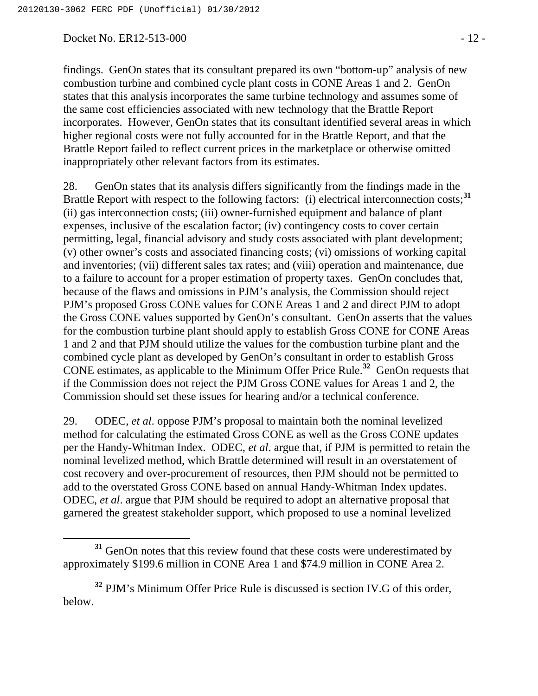Docket No. ER12-513-000 - 12 -

findings. GenOn states that its consultant prepared its own "bottom-up" analysis of new combustion turbine and combined cycle plant costs in CONE Areas 1 and 2. GenOn states that this analysis incorporates the same turbine technology and assumes some of the same cost efficiencies associated with new technology that the Brattle Report incorporates. However, GenOn states that its consultant identified several areas in which higher regional costs were not fully accounted for in the Brattle Report, and that the Brattle Report failed to reflect current prices in the marketplace or otherwise omitted inappropriately other relevant factors from its estimates.

28. GenOn states that its analysis differs significantly from the findings made in the Brattle Report with respect to the following factors: (i) electrical interconnection costs;<sup>31</sup> (ii) gas interconnection costs; (iii) owner-furnished equipment and balance of plant expenses, inclusive of the escalation factor; (iv) contingency costs to cover certain permitting, legal, financial advisory and study costs associated with plant development; (v) other owner's costs and associated financing costs; (vi) omissions of working capital and inventories; (vii) different sales tax rates; and (viii) operation and maintenance, due to a failure to account for a proper estimation of property taxes. GenOn concludes that, because of the flaws and omissions in PJM's analysis, the Commission should reject PJM's proposed Gross CONE values for CONE Areas 1 and 2 and direct PJM to adopt the Gross CONE values supported by GenOn's consultant. GenOn asserts that the values for the combustion turbine plant should apply to establish Gross CONE for CONE Areas 1 and 2 and that PJM should utilize the values for the combustion turbine plant and the combined cycle plant as developed by GenOn's consultant in order to establish Gross CONE estimates, as applicable to the Minimum Offer Price Rule.**<sup>32</sup>** GenOn requests that if the Commission does not reject the PJM Gross CONE values for Areas 1 and 2, the Commission should set these issues for hearing and/or a technical conference.

29. ODEC, *et al*. oppose PJM's proposal to maintain both the nominal levelized method for calculating the estimated Gross CONE as well as the Gross CONE updates per the Handy-Whitman Index. ODEC, *et al*. argue that, if PJM is permitted to retain the nominal levelized method, which Brattle determined will result in an overstatement of cost recovery and over-procurement of resources, then PJM should not be permitted to add to the overstated Gross CONE based on annual Handy-Whitman Index updates. ODEC, *et al*. argue that PJM should be required to adopt an alternative proposal that garnered the greatest stakeholder support, which proposed to use a nominal levelized

**<sup>31</sup>** GenOn notes that this review found that these costs were underestimated by approximately \$199.6 million in CONE Area 1 and \$74.9 million in CONE Area 2.

**<sup>32</sup>** PJM's Minimum Offer Price Rule is discussed is section IV.G of this order, below.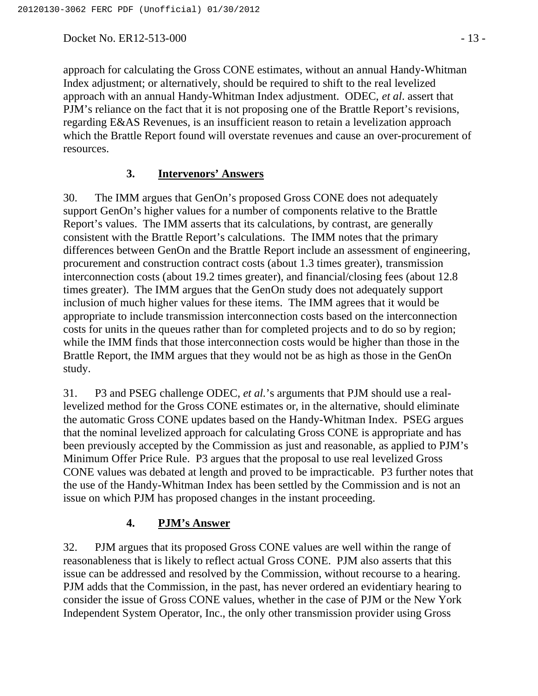Docket No. ER12-513-000 - 13 -

approach for calculating the Gross CONE estimates, without an annual Handy-Whitman Index adjustment; or alternatively, should be required to shift to the real levelized approach with an annual Handy-Whitman Index adjustment. ODEC, *et al*. assert that PJM's reliance on the fact that it is not proposing one of the Brattle Report's revisions, regarding E&AS Revenues, is an insufficient reason to retain a levelization approach which the Brattle Report found will overstate revenues and cause an over-procurement of resources.

### **3. Intervenors' Answers**

30. The IMM argues that GenOn's proposed Gross CONE does not adequately support GenOn's higher values for a number of components relative to the Brattle Report's values. The IMM asserts that its calculations, by contrast, are generally consistent with the Brattle Report's calculations. The IMM notes that the primary differences between GenOn and the Brattle Report include an assessment of engineering, procurement and construction contract costs (about 1.3 times greater), transmission interconnection costs (about 19.2 times greater), and financial/closing fees (about 12.8 times greater). The IMM argues that the GenOn study does not adequately support inclusion of much higher values for these items. The IMM agrees that it would be appropriate to include transmission interconnection costs based on the interconnection costs for units in the queues rather than for completed projects and to do so by region; while the IMM finds that those interconnection costs would be higher than those in the Brattle Report, the IMM argues that they would not be as high as those in the GenOn study.

31. P3 and PSEG challenge ODEC, *et al.*'s arguments that PJM should use a reallevelized method for the Gross CONE estimates or, in the alternative, should eliminate the automatic Gross CONE updates based on the Handy-Whitman Index. PSEG argues that the nominal levelized approach for calculating Gross CONE is appropriate and has been previously accepted by the Commission as just and reasonable, as applied to PJM's Minimum Offer Price Rule. P3 argues that the proposal to use real levelized Gross CONE values was debated at length and proved to be impracticable. P3 further notes that the use of the Handy-Whitman Index has been settled by the Commission and is not an issue on which PJM has proposed changes in the instant proceeding.

## **4. PJM's Answer**

32. PJM argues that its proposed Gross CONE values are well within the range of reasonableness that is likely to reflect actual Gross CONE. PJM also asserts that this issue can be addressed and resolved by the Commission, without recourse to a hearing. PJM adds that the Commission, in the past, has never ordered an evidentiary hearing to consider the issue of Gross CONE values, whether in the case of PJM or the New York Independent System Operator, Inc., the only other transmission provider using Gross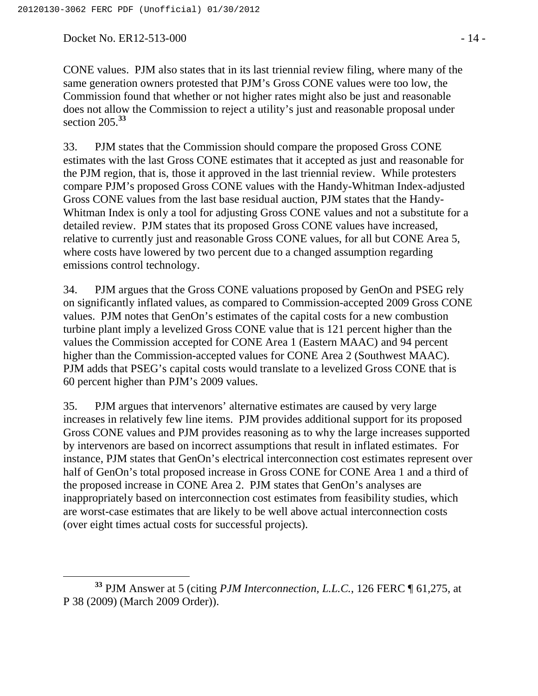Docket No. ER12-513-000 - 14 -

CONE values. PJM also states that in its last triennial review filing, where many of the same generation owners protested that PJM's Gross CONE values were too low, the Commission found that whether or not higher rates might also be just and reasonable does not allow the Commission to reject a utility's just and reasonable proposal under section 205.**<sup>33</sup>**

33. PJM states that the Commission should compare the proposed Gross CONE estimates with the last Gross CONE estimates that it accepted as just and reasonable for the PJM region, that is, those it approved in the last triennial review. While protesters compare PJM's proposed Gross CONE values with the Handy-Whitman Index-adjusted Gross CONE values from the last base residual auction, PJM states that the Handy-Whitman Index is only a tool for adjusting Gross CONE values and not a substitute for a detailed review. PJM states that its proposed Gross CONE values have increased, relative to currently just and reasonable Gross CONE values, for all but CONE Area 5, where costs have lowered by two percent due to a changed assumption regarding emissions control technology.

34. PJM argues that the Gross CONE valuations proposed by GenOn and PSEG rely on significantly inflated values, as compared to Commission-accepted 2009 Gross CONE values. PJM notes that GenOn's estimates of the capital costs for a new combustion turbine plant imply a levelized Gross CONE value that is 121 percent higher than the values the Commission accepted for CONE Area 1 (Eastern MAAC) and 94 percent higher than the Commission-accepted values for CONE Area 2 (Southwest MAAC). PJM adds that PSEG's capital costs would translate to a levelized Gross CONE that is 60 percent higher than PJM's 2009 values.

35. PJM argues that intervenors' alternative estimates are caused by very large increases in relatively few line items. PJM provides additional support for its proposed Gross CONE values and PJM provides reasoning as to why the large increases supported by intervenors are based on incorrect assumptions that result in inflated estimates. For instance, PJM states that GenOn's electrical interconnection cost estimates represent over half of GenOn's total proposed increase in Gross CONE for CONE Area 1 and a third of the proposed increase in CONE Area 2. PJM states that GenOn's analyses are inappropriately based on interconnection cost estimates from feasibility studies, which are worst-case estimates that are likely to be well above actual interconnection costs (over eight times actual costs for successful projects).

**<sup>33</sup>** PJM Answer at 5 (citing *PJM Interconnection, L.L.C.*, 126 FERC ¶ 61,275, at P 38 (2009) (March 2009 Order)).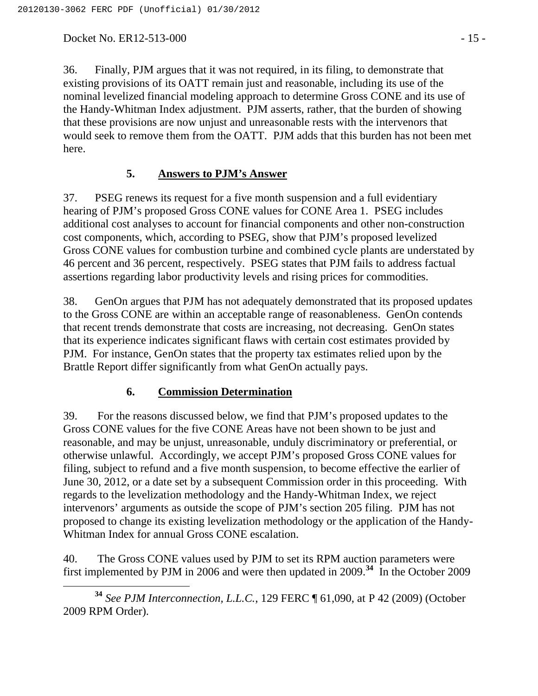Docket No. ER12-513-000 - 15 -

36. Finally, PJM argues that it was not required, in its filing, to demonstrate that existing provisions of its OATT remain just and reasonable, including its use of the nominal levelized financial modeling approach to determine Gross CONE and its use of the Handy-Whitman Index adjustment. PJM asserts, rather, that the burden of showing that these provisions are now unjust and unreasonable rests with the intervenors that would seek to remove them from the OATT. PJM adds that this burden has not been met here.

### **5. Answers to PJM's Answer**

37. PSEG renews its request for a five month suspension and a full evidentiary hearing of PJM's proposed Gross CONE values for CONE Area 1. PSEG includes additional cost analyses to account for financial components and other non-construction cost components, which, according to PSEG, show that PJM's proposed levelized Gross CONE values for combustion turbine and combined cycle plants are understated by 46 percent and 36 percent, respectively. PSEG states that PJM fails to address factual assertions regarding labor productivity levels and rising prices for commodities.

38. GenOn argues that PJM has not adequately demonstrated that its proposed updates to the Gross CONE are within an acceptable range of reasonableness. GenOn contends that recent trends demonstrate that costs are increasing, not decreasing. GenOn states that its experience indicates significant flaws with certain cost estimates provided by PJM. For instance, GenOn states that the property tax estimates relied upon by the Brattle Report differ significantly from what GenOn actually pays.

#### **6. Commission Determination**

39. For the reasons discussed below, we find that PJM's proposed updates to the Gross CONE values for the five CONE Areas have not been shown to be just and reasonable, and may be unjust, unreasonable, unduly discriminatory or preferential, or otherwise unlawful. Accordingly, we accept PJM's proposed Gross CONE values for filing, subject to refund and a five month suspension, to become effective the earlier of June 30, 2012, or a date set by a subsequent Commission order in this proceeding. With regards to the levelization methodology and the Handy-Whitman Index, we reject intervenors' arguments as outside the scope of PJM's section 205 filing. PJM has not proposed to change its existing levelization methodology or the application of the Handy-Whitman Index for annual Gross CONE escalation.

40. The Gross CONE values used by PJM to set its RPM auction parameters were first implemented by PJM in 2006 and were then updated in 2009.<sup>34</sup> In the October 2009

 **<sup>34</sup>** *See PJM Interconnection, L.L.C.*, 129 FERC ¶ 61,090, at P 42 (2009) (October 2009 RPM Order).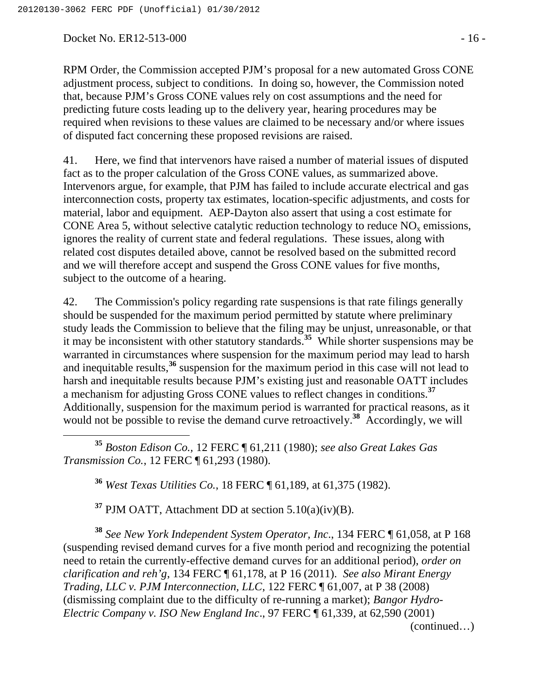Docket No. ER12-513-000 - 16 -

RPM Order, the Commission accepted PJM's proposal for a new automated Gross CONE adjustment process, subject to conditions. In doing so, however, the Commission noted that, because PJM's Gross CONE values rely on cost assumptions and the need for predicting future costs leading up to the delivery year, hearing procedures may be required when revisions to these values are claimed to be necessary and/or where issues of disputed fact concerning these proposed revisions are raised.

41. Here, we find that intervenors have raised a number of material issues of disputed fact as to the proper calculation of the Gross CONE values, as summarized above. Intervenors argue, for example, that PJM has failed to include accurate electrical and gas interconnection costs, property tax estimates, location-specific adjustments, and costs for material, labor and equipment. AEP-Dayton also assert that using a cost estimate for CONE Area 5, without selective catalytic reduction technology to reduce  $NO<sub>x</sub>$  emissions, ignores the reality of current state and federal regulations. These issues, along with related cost disputes detailed above, cannot be resolved based on the submitted record and we will therefore accept and suspend the Gross CONE values for five months, subject to the outcome of a hearing.

42. The Commission's policy regarding rate suspensions is that rate filings generally should be suspended for the maximum period permitted by statute where preliminary study leads the Commission to believe that the filing may be unjust, unreasonable, or that it may be inconsistent with other statutory standards.**<sup>35</sup>** While shorter suspensions may be warranted in circumstances where suspension for the maximum period may lead to harsh and inequitable results,**<sup>36</sup>** suspension for the maximum period in this case will not lead to harsh and inequitable results because PJM's existing just and reasonable OATT includes a mechanism for adjusting Gross CONE values to reflect changes in conditions.**<sup>37</sup>** Additionally, suspension for the maximum period is warranted for practical reasons, as it would not be possible to revise the demand curve retroactively.<sup>38</sup> Accordingly, we will

 **<sup>35</sup>** *Boston Edison Co.,* 12 FERC ¶ 61,211 (1980); *see also Great Lakes Gas Transmission Co.*, 12 FERC ¶ 61,293 (1980).

**<sup>36</sup>** *West Texas Utilities Co.*, 18 FERC ¶ 61,189, at 61,375 (1982).

**<sup>37</sup>** PJM OATT, Attachment DD at section 5.10(a)(iv)(B).

**<sup>38</sup>** *See New York Independent System Operator, Inc*., 134 FERC ¶ 61,058, at P 168 (suspending revised demand curves for a five month period and recognizing the potential need to retain the currently-effective demand curves for an additional period), *order on clarification and reh'g*, 134 FERC ¶ 61,178, at P 16 (2011). *See also Mirant Energy Trading, LLC v. PJM Interconnection, LLC*, 122 FERC ¶ 61,007, at P 38 (2008) (dismissing complaint due to the difficulty of re-running a market); *Bangor Hydro-Electric Company v. ISO New England Inc*., 97 FERC ¶ 61,339, at 62,590 (2001)

(continued…)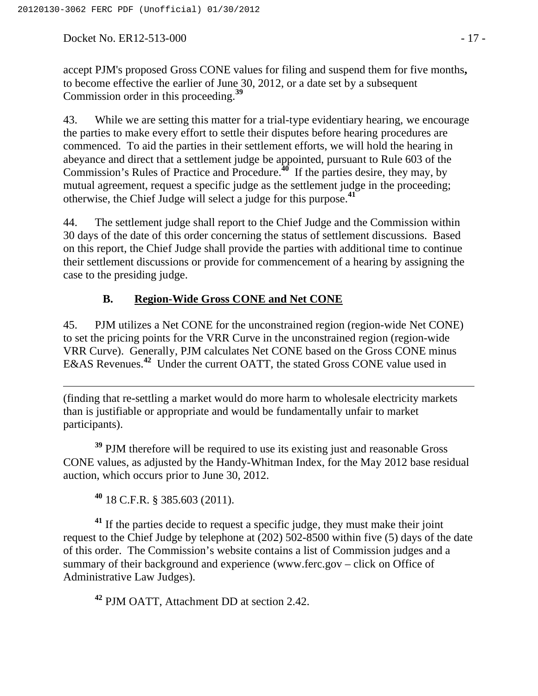Docket No. ER12-513-000 - 17 -

accept PJM's proposed Gross CONE values for filing and suspend them for five months**,** to become effective the earlier of June 30, 2012, or a date set by a subsequent Commission order in this proceeding.**<sup>39</sup>**

43. While we are setting this matter for a trial-type evidentiary hearing, we encourage the parties to make every effort to settle their disputes before hearing procedures are commenced. To aid the parties in their settlement efforts, we will hold the hearing in abeyance and direct that a settlement judge be appointed, pursuant to Rule 603 of the Commission's Rules of Practice and Procedure.**<sup>40</sup>** If the parties desire, they may, by mutual agreement, request a specific judge as the settlement judge in the proceeding; otherwise, the Chief Judge will select a judge for this purpose.**<sup>41</sup>**

44. The settlement judge shall report to the Chief Judge and the Commission within 30 days of the date of this order concerning the status of settlement discussions. Based on this report, the Chief Judge shall provide the parties with additional time to continue their settlement discussions or provide for commencement of a hearing by assigning the case to the presiding judge.

# **B. Region-Wide Gross CONE and Net CONE**

45. PJM utilizes a Net CONE for the unconstrained region (region-wide Net CONE) to set the pricing points for the VRR Curve in the unconstrained region (region-wide VRR Curve). Generally, PJM calculates Net CONE based on the Gross CONE minus E&AS Revenues.**<sup>42</sup>** Under the current OATT, the stated Gross CONE value used in

(finding that re-settling a market would do more harm to wholesale electricity markets than is justifiable or appropriate and would be fundamentally unfair to market participants).

<sup>39</sup> PJM therefore will be required to use its existing just and reasonable Gross CONE values, as adjusted by the Handy-Whitman Index, for the May 2012 base residual auction, which occurs prior to June 30, 2012.

**<sup>40</sup>** 18 C.F.R. § 385.603 (2011).

 $\overline{a}$ 

**<sup>41</sup>** If the parties decide to request a specific judge, they must make their joint request to the Chief Judge by telephone at (202) 502-8500 within five (5) days of the date of this order. The Commission's website contains a list of Commission judges and a summary of their background and experience (www.ferc.gov – click on Office of Administrative Law Judges).

**<sup>42</sup>** PJM OATT, Attachment DD at section 2.42.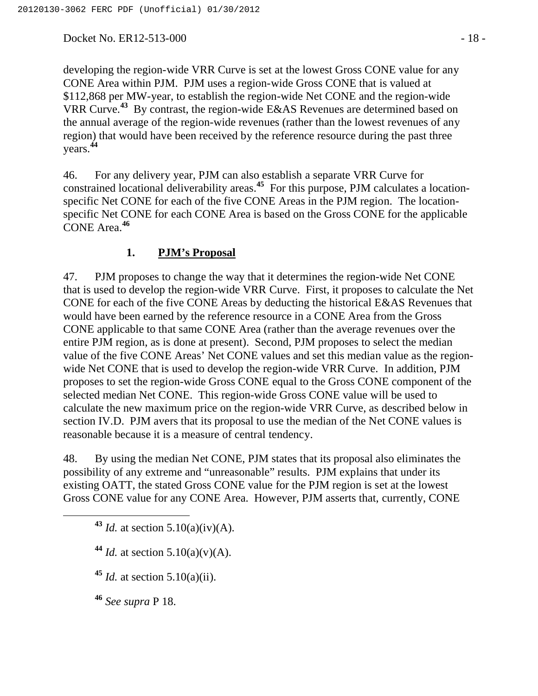Docket No. ER12-513-000 - 18 -

developing the region-wide VRR Curve is set at the lowest Gross CONE value for any CONE Area within PJM. PJM uses a region-wide Gross CONE that is valued at \$112,868 per MW-year, to establish the region-wide Net CONE and the region-wide VRR Curve.**<sup>43</sup>** By contrast, the region-wide E&AS Revenues are determined based on the annual average of the region-wide revenues (rather than the lowest revenues of any region) that would have been received by the reference resource during the past three years. **44**

46. For any delivery year, PJM can also establish a separate VRR Curve for constrained locational deliverability areas.**<sup>45</sup>** For this purpose, PJM calculates a locationspecific Net CONE for each of the five CONE Areas in the PJM region. The locationspecific Net CONE for each CONE Area is based on the Gross CONE for the applicable CONE Area.**<sup>46</sup>**

#### **1. PJM's Proposal**

47. PJM proposes to change the way that it determines the region-wide Net CONE that is used to develop the region-wide VRR Curve. First, it proposes to calculate the Net CONE for each of the five CONE Areas by deducting the historical E&AS Revenues that would have been earned by the reference resource in a CONE Area from the Gross CONE applicable to that same CONE Area (rather than the average revenues over the entire PJM region, as is done at present). Second, PJM proposes to select the median value of the five CONE Areas' Net CONE values and set this median value as the regionwide Net CONE that is used to develop the region-wide VRR Curve. In addition, PJM proposes to set the region-wide Gross CONE equal to the Gross CONE component of the selected median Net CONE. This region-wide Gross CONE value will be used to calculate the new maximum price on the region-wide VRR Curve, as described below in section IV.D. PJM avers that its proposal to use the median of the Net CONE values is reasonable because it is a measure of central tendency.

48. By using the median Net CONE, PJM states that its proposal also eliminates the possibility of any extreme and "unreasonable" results. PJM explains that under its existing OATT, the stated Gross CONE value for the PJM region is set at the lowest Gross CONE value for any CONE Area. However, PJM asserts that, currently, CONE

**<sup>43</sup>** *Id.* at section 5.10(a)(iv)(A).

 $44$  *Id.* at section 5.10(a)(v)(A).

**<sup>45</sup>** *Id.* at section 5.10(a)(ii).

**<sup>46</sup>** *See supra* P 18.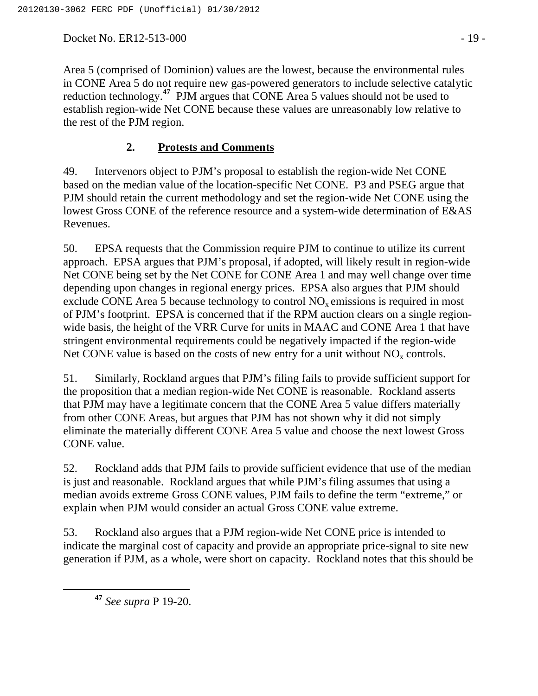Docket No. ER12-513-000 - 19 -

Area 5 (comprised of Dominion) values are the lowest, because the environmental rules in CONE Area 5 do not require new gas-powered generators to include selective catalytic reduction technology.**<sup>47</sup>** PJM argues that CONE Area 5 values should not be used to establish region-wide Net CONE because these values are unreasonably low relative to the rest of the PJM region.

# **2. Protests and Comments**

49. Intervenors object to PJM's proposal to establish the region-wide Net CONE based on the median value of the location-specific Net CONE. P3 and PSEG argue that PJM should retain the current methodology and set the region-wide Net CONE using the lowest Gross CONE of the reference resource and a system-wide determination of E&AS Revenues.

50. EPSA requests that the Commission require PJM to continue to utilize its current approach. EPSA argues that PJM's proposal, if adopted, will likely result in region-wide Net CONE being set by the Net CONE for CONE Area 1 and may well change over time depending upon changes in regional energy prices. EPSA also argues that PJM should exclude CONE Area 5 because technology to control  $NO<sub>x</sub>$  emissions is required in most of PJM's footprint. EPSA is concerned that if the RPM auction clears on a single regionwide basis, the height of the VRR Curve for units in MAAC and CONE Area 1 that have stringent environmental requirements could be negatively impacted if the region-wide Net CONE value is based on the costs of new entry for a unit without  $NO<sub>x</sub>$  controls.

51. Similarly, Rockland argues that PJM's filing fails to provide sufficient support for the proposition that a median region-wide Net CONE is reasonable. Rockland asserts that PJM may have a legitimate concern that the CONE Area 5 value differs materially from other CONE Areas, but argues that PJM has not shown why it did not simply eliminate the materially different CONE Area 5 value and choose the next lowest Gross CONE value.

52. Rockland adds that PJM fails to provide sufficient evidence that use of the median is just and reasonable. Rockland argues that while PJM's filing assumes that using a median avoids extreme Gross CONE values, PJM fails to define the term "extreme," or explain when PJM would consider an actual Gross CONE value extreme.

53. Rockland also argues that a PJM region-wide Net CONE price is intended to indicate the marginal cost of capacity and provide an appropriate price-signal to site new generation if PJM, as a whole, were short on capacity. Rockland notes that this should be

**<sup>47</sup>** *See supra* P 19-20*.*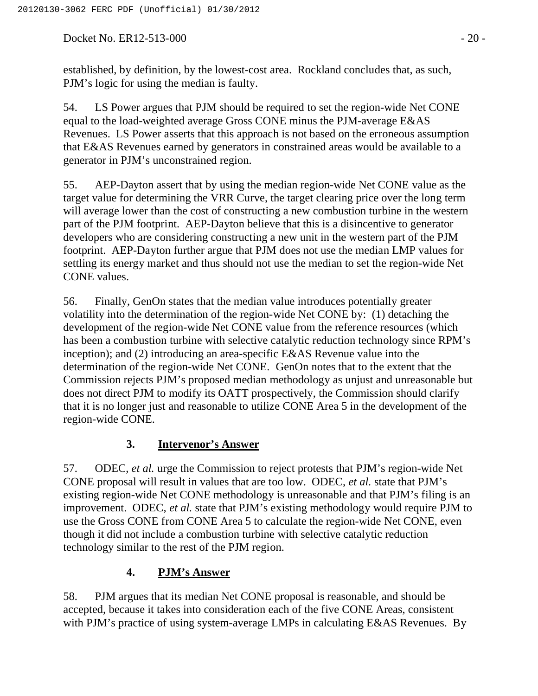Docket No. ER12-513-000 - 20 -

established, by definition, by the lowest-cost area. Rockland concludes that, as such, PJM's logic for using the median is faulty.

54. LS Power argues that PJM should be required to set the region-wide Net CONE equal to the load-weighted average Gross CONE minus the PJM-average E&AS Revenues. LS Power asserts that this approach is not based on the erroneous assumption that E&AS Revenues earned by generators in constrained areas would be available to a generator in PJM's unconstrained region.

55. AEP-Dayton assert that by using the median region-wide Net CONE value as the target value for determining the VRR Curve, the target clearing price over the long term will average lower than the cost of constructing a new combustion turbine in the western part of the PJM footprint. AEP-Dayton believe that this is a disincentive to generator developers who are considering constructing a new unit in the western part of the PJM footprint. AEP-Dayton further argue that PJM does not use the median LMP values for settling its energy market and thus should not use the median to set the region-wide Net CONE values.

56. Finally, GenOn states that the median value introduces potentially greater volatility into the determination of the region-wide Net CONE by: (1) detaching the development of the region-wide Net CONE value from the reference resources (which has been a combustion turbine with selective catalytic reduction technology since RPM's inception); and (2) introducing an area-specific E&AS Revenue value into the determination of the region-wide Net CONE. GenOn notes that to the extent that the Commission rejects PJM's proposed median methodology as unjust and unreasonable but does not direct PJM to modify its OATT prospectively, the Commission should clarify that it is no longer just and reasonable to utilize CONE Area 5 in the development of the region-wide CONE.

# **3. Intervenor's Answer**

57. ODEC, *et al.* urge the Commission to reject protests that PJM's region-wide Net CONE proposal will result in values that are too low. ODEC, *et al.* state that PJM's existing region-wide Net CONE methodology is unreasonable and that PJM's filing is an improvement. ODEC, *et al.* state that PJM's existing methodology would require PJM to use the Gross CONE from CONE Area 5 to calculate the region-wide Net CONE, even though it did not include a combustion turbine with selective catalytic reduction technology similar to the rest of the PJM region.

# **4. PJM's Answer**

58. PJM argues that its median Net CONE proposal is reasonable, and should be accepted, because it takes into consideration each of the five CONE Areas, consistent with PJM's practice of using system-average LMPs in calculating E&AS Revenues. By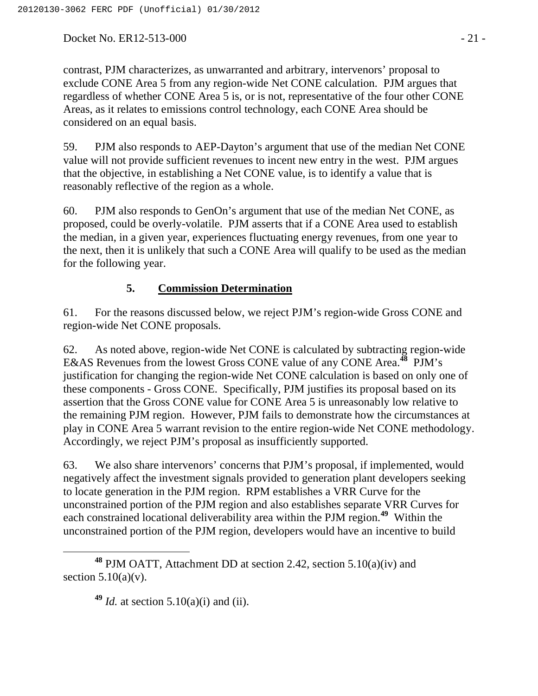Docket No. ER12-513-000 - 21 -

contrast, PJM characterizes, as unwarranted and arbitrary, intervenors' proposal to exclude CONE Area 5 from any region-wide Net CONE calculation. PJM argues that regardless of whether CONE Area 5 is, or is not, representative of the four other CONE Areas, as it relates to emissions control technology, each CONE Area should be considered on an equal basis.

59. PJM also responds to AEP-Dayton's argument that use of the median Net CONE value will not provide sufficient revenues to incent new entry in the west. PJM argues that the objective, in establishing a Net CONE value, is to identify a value that is reasonably reflective of the region as a whole.

60. PJM also responds to GenOn's argument that use of the median Net CONE, as proposed, could be overly-volatile. PJM asserts that if a CONE Area used to establish the median, in a given year, experiences fluctuating energy revenues, from one year to the next, then it is unlikely that such a CONE Area will qualify to be used as the median for the following year.

## **5. Commission Determination**

61. For the reasons discussed below, we reject PJM's region-wide Gross CONE and region-wide Net CONE proposals.

62. As noted above, region-wide Net CONE is calculated by subtracting region-wide E&AS Revenues from the lowest Gross CONE value of any CONE Area.**<sup>48</sup>** PJM's justification for changing the region-wide Net CONE calculation is based on only one of these components - Gross CONE. Specifically, PJM justifies its proposal based on its assertion that the Gross CONE value for CONE Area 5 is unreasonably low relative to the remaining PJM region. However, PJM fails to demonstrate how the circumstances at play in CONE Area 5 warrant revision to the entire region-wide Net CONE methodology. Accordingly, we reject PJM's proposal as insufficiently supported.

63. We also share intervenors' concerns that PJM's proposal, if implemented, would negatively affect the investment signals provided to generation plant developers seeking to locate generation in the PJM region. RPM establishes a VRR Curve for the unconstrained portion of the PJM region and also establishes separate VRR Curves for each constrained locational deliverability area within the PJM region.**<sup>49</sup>** Within the unconstrained portion of the PJM region, developers would have an incentive to build

**<sup>49</sup>** *Id.* at section 5.10(a)(i) and (ii).

**<sup>48</sup>** PJM OATT, Attachment DD at section 2.42, section 5.10(a)(iv) and section  $5.10(a)(v)$ .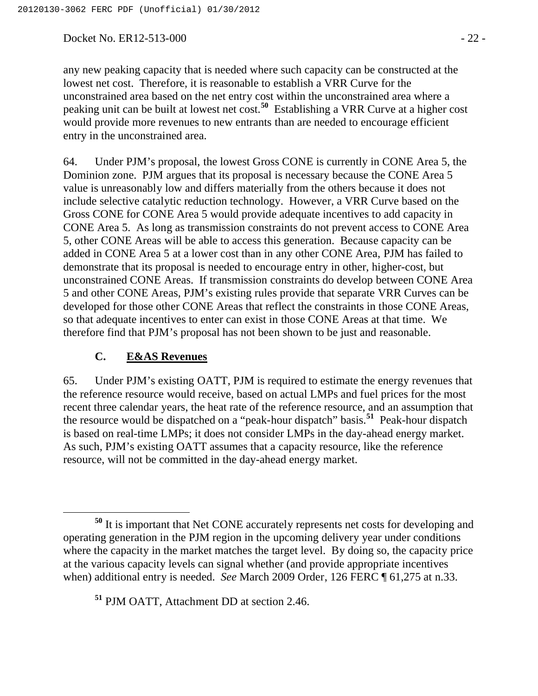Docket No. ER12-513-000 - 22 -

any new peaking capacity that is needed where such capacity can be constructed at the lowest net cost. Therefore, it is reasonable to establish a VRR Curve for the unconstrained area based on the net entry cost within the unconstrained area where a peaking unit can be built at lowest net cost.**<sup>50</sup>** Establishing a VRR Curve at a higher cost would provide more revenues to new entrants than are needed to encourage efficient entry in the unconstrained area.

64. Under PJM's proposal, the lowest Gross CONE is currently in CONE Area 5, the Dominion zone. PJM argues that its proposal is necessary because the CONE Area 5 value is unreasonably low and differs materially from the others because it does not include selective catalytic reduction technology. However, a VRR Curve based on the Gross CONE for CONE Area 5 would provide adequate incentives to add capacity in CONE Area 5. As long as transmission constraints do not prevent access to CONE Area 5, other CONE Areas will be able to access this generation. Because capacity can be added in CONE Area 5 at a lower cost than in any other CONE Area, PJM has failed to demonstrate that its proposal is needed to encourage entry in other, higher-cost, but unconstrained CONE Areas. If transmission constraints do develop between CONE Area 5 and other CONE Areas, PJM's existing rules provide that separate VRR Curves can be developed for those other CONE Areas that reflect the constraints in those CONE Areas, so that adequate incentives to enter can exist in those CONE Areas at that time. We therefore find that PJM's proposal has not been shown to be just and reasonable.

#### **C. E&AS Revenues**

65. Under PJM's existing OATT, PJM is required to estimate the energy revenues that the reference resource would receive, based on actual LMPs and fuel prices for the most recent three calendar years, the heat rate of the reference resource, and an assumption that the resource would be dispatched on a "peak-hour dispatch" basis.**<sup>51</sup>** Peak-hour dispatch is based on real-time LMPs; it does not consider LMPs in the day-ahead energy market. As such, PJM's existing OATT assumes that a capacity resource, like the reference resource, will not be committed in the day-ahead energy market.

**<sup>51</sup>** PJM OATT, Attachment DD at section 2.46.

**<sup>50</sup>** It is important that Net CONE accurately represents net costs for developing and operating generation in the PJM region in the upcoming delivery year under conditions where the capacity in the market matches the target level. By doing so, the capacity price at the various capacity levels can signal whether (and provide appropriate incentives when) additional entry is needed. *See* March 2009 Order, 126 FERC ¶ 61,275 at n.33.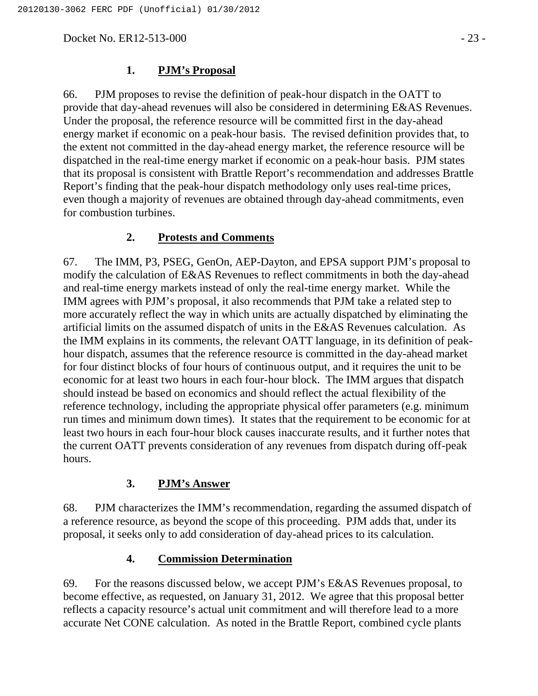Docket No. ER12-513-000 - 23 -

#### **1. PJM's Proposal**

66. PJM proposes to revise the definition of peak-hour dispatch in the OATT to provide that day-ahead revenues will also be considered in determining E&AS Revenues. Under the proposal, the reference resource will be committed first in the day-ahead energy market if economic on a peak-hour basis. The revised definition provides that, to the extent not committed in the day-ahead energy market, the reference resource will be dispatched in the real-time energy market if economic on a peak-hour basis. PJM states that its proposal is consistent with Brattle Report's recommendation and addresses Brattle Report's finding that the peak-hour dispatch methodology only uses real-time prices, even though a majority of revenues are obtained through day-ahead commitments, even for combustion turbines.

### **2. Protests and Comments**

67. The IMM, P3, PSEG, GenOn, AEP-Dayton, and EPSA support PJM's proposal to modify the calculation of E&AS Revenues to reflect commitments in both the day-ahead and real-time energy markets instead of only the real-time energy market. While the IMM agrees with PJM's proposal, it also recommends that PJM take a related step to more accurately reflect the way in which units are actually dispatched by eliminating the artificial limits on the assumed dispatch of units in the E&AS Revenues calculation. As the IMM explains in its comments, the relevant OATT language, in its definition of peakhour dispatch, assumes that the reference resource is committed in the day-ahead market for four distinct blocks of four hours of continuous output, and it requires the unit to be economic for at least two hours in each four-hour block. The IMM argues that dispatch should instead be based on economics and should reflect the actual flexibility of the reference technology, including the appropriate physical offer parameters (e.g. minimum run times and minimum down times). It states that the requirement to be economic for at least two hours in each four-hour block causes inaccurate results, and it further notes that the current OATT prevents consideration of any revenues from dispatch during off-peak hours.

#### **3. PJM's Answer**

68. PJM characterizes the IMM's recommendation, regarding the assumed dispatch of a reference resource, as beyond the scope of this proceeding. PJM adds that, under its proposal, it seeks only to add consideration of day-ahead prices to its calculation.

#### **4. Commission Determination**

69. For the reasons discussed below, we accept PJM's E&AS Revenues proposal, to become effective, as requested, on January 31, 2012. We agree that this proposal better reflects a capacity resource's actual unit commitment and will therefore lead to a more accurate Net CONE calculation. As noted in the Brattle Report, combined cycle plants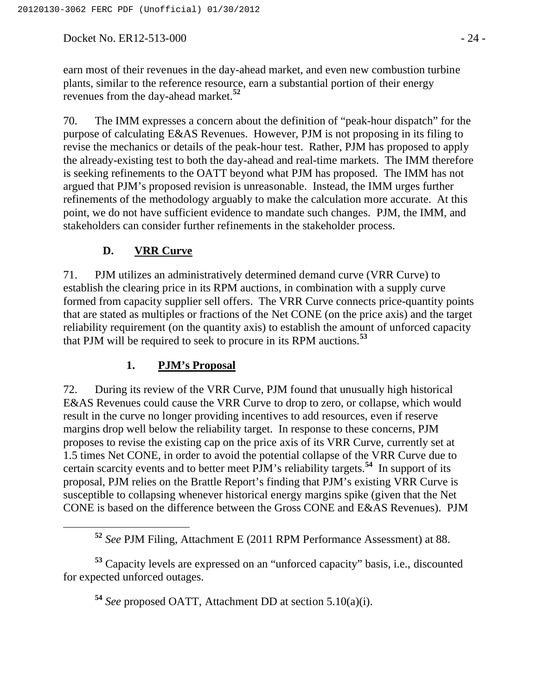Docket No. ER12-513-000 - 24 -

earn most of their revenues in the day-ahead market, and even new combustion turbine plants, similar to the reference resource, earn a substantial portion of their energy revenues from the day-ahead market.**<sup>52</sup>**

70. The IMM expresses a concern about the definition of "peak-hour dispatch" for the purpose of calculating E&AS Revenues. However, PJM is not proposing in its filing to revise the mechanics or details of the peak-hour test. Rather, PJM has proposed to apply the already-existing test to both the day-ahead and real-time markets. The IMM therefore is seeking refinements to the OATT beyond what PJM has proposed. The IMM has not argued that PJM's proposed revision is unreasonable. Instead, the IMM urges further refinements of the methodology arguably to make the calculation more accurate. At this point, we do not have sufficient evidence to mandate such changes. PJM, the IMM, and stakeholders can consider further refinements in the stakeholder process.

# **D. VRR Curve**

71. PJM utilizes an administratively determined demand curve (VRR Curve) to establish the clearing price in its RPM auctions, in combination with a supply curve formed from capacity supplier sell offers. The VRR Curve connects price-quantity points that are stated as multiples or fractions of the Net CONE (on the price axis) and the target reliability requirement (on the quantity axis) to establish the amount of unforced capacity that PJM will be required to seek to procure in its RPM auctions.**<sup>53</sup>**

## **1. PJM's Proposal**

72. During its review of the VRR Curve, PJM found that unusually high historical E&AS Revenues could cause the VRR Curve to drop to zero, or collapse, which would result in the curve no longer providing incentives to add resources, even if reserve margins drop well below the reliability target. In response to these concerns, PJM proposes to revise the existing cap on the price axis of its VRR Curve, currently set at 1.5 times Net CONE, in order to avoid the potential collapse of the VRR Curve due to certain scarcity events and to better meet PJM's reliability targets.**<sup>54</sup>** In support of its proposal, PJM relies on the Brattle Report's finding that PJM's existing VRR Curve is susceptible to collapsing whenever historical energy margins spike (given that the Net CONE is based on the difference between the Gross CONE and E&AS Revenues). PJM

**<sup>53</sup>** Capacity levels are expressed on an "unforced capacity" basis, i.e., discounted for expected unforced outages.

**<sup>54</sup>** *See* proposed OATT, Attachment DD at section 5.10(a)(i).

**<sup>52</sup>** *See* PJM Filing, Attachment E (2011 RPM Performance Assessment) at 88.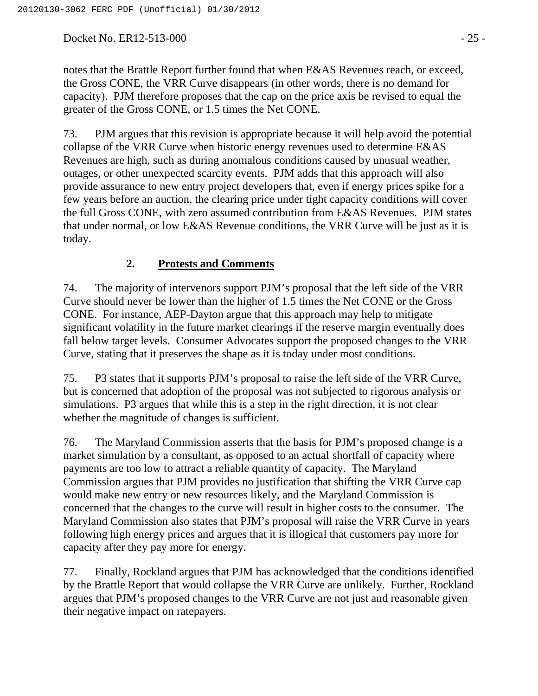Docket No. ER12-513-000 - 25 -

notes that the Brattle Report further found that when E&AS Revenues reach, or exceed, the Gross CONE, the VRR Curve disappears (in other words, there is no demand for capacity). PJM therefore proposes that the cap on the price axis be revised to equal the greater of the Gross CONE, or 1.5 times the Net CONE.

73. PJM argues that this revision is appropriate because it will help avoid the potential collapse of the VRR Curve when historic energy revenues used to determine E&AS Revenues are high, such as during anomalous conditions caused by unusual weather, outages, or other unexpected scarcity events. PJM adds that this approach will also provide assurance to new entry project developers that, even if energy prices spike for a few years before an auction, the clearing price under tight capacity conditions will cover the full Gross CONE, with zero assumed contribution from E&AS Revenues. PJM states that under normal, or low E&AS Revenue conditions, the VRR Curve will be just as it is today.

## **2. Protests and Comments**

74. The majority of intervenors support PJM's proposal that the left side of the VRR Curve should never be lower than the higher of 1.5 times the Net CONE or the Gross CONE. For instance, AEP-Dayton argue that this approach may help to mitigate significant volatility in the future market clearings if the reserve margin eventually does fall below target levels. Consumer Advocates support the proposed changes to the VRR Curve, stating that it preserves the shape as it is today under most conditions.

75. P3 states that it supports PJM's proposal to raise the left side of the VRR Curve, but is concerned that adoption of the proposal was not subjected to rigorous analysis or simulations. P3 argues that while this is a step in the right direction, it is not clear whether the magnitude of changes is sufficient.

76. The Maryland Commission asserts that the basis for PJM's proposed change is a market simulation by a consultant, as opposed to an actual shortfall of capacity where payments are too low to attract a reliable quantity of capacity. The Maryland Commission argues that PJM provides no justification that shifting the VRR Curve cap would make new entry or new resources likely, and the Maryland Commission is concerned that the changes to the curve will result in higher costs to the consumer. The Maryland Commission also states that PJM's proposal will raise the VRR Curve in years following high energy prices and argues that it is illogical that customers pay more for capacity after they pay more for energy.

77. Finally, Rockland argues that PJM has acknowledged that the conditions identified by the Brattle Report that would collapse the VRR Curve are unlikely. Further, Rockland argues that PJM's proposed changes to the VRR Curve are not just and reasonable given their negative impact on ratepayers.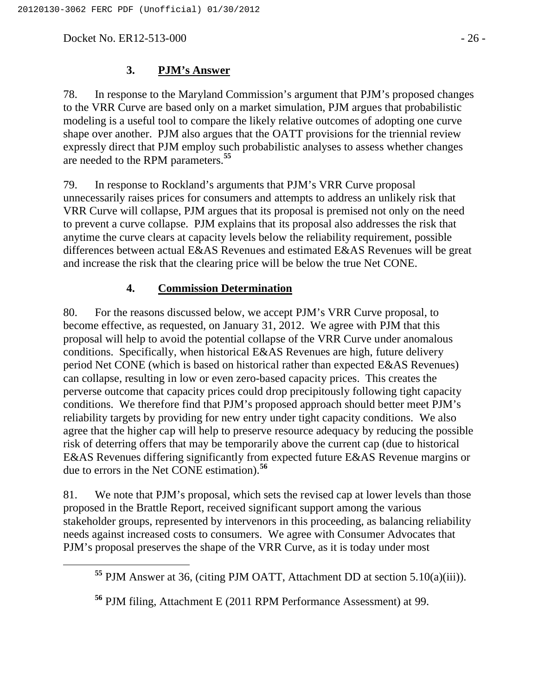Docket No. ER12-513-000 - 26 -

78. In response to the Maryland Commission's argument that PJM's proposed changes to the VRR Curve are based only on a market simulation, PJM argues that probabilistic modeling is a useful tool to compare the likely relative outcomes of adopting one curve shape over another. PJM also argues that the OATT provisions for the triennial review expressly direct that PJM employ such probabilistic analyses to assess whether changes are needed to the RPM parameters.**<sup>55</sup>**

79. In response to Rockland's arguments that PJM's VRR Curve proposal unnecessarily raises prices for consumers and attempts to address an unlikely risk that VRR Curve will collapse, PJM argues that its proposal is premised not only on the need to prevent a curve collapse. PJM explains that its proposal also addresses the risk that anytime the curve clears at capacity levels below the reliability requirement, possible differences between actual E&AS Revenues and estimated E&AS Revenues will be great and increase the risk that the clearing price will be below the true Net CONE.

## **4. Commission Determination**

80. For the reasons discussed below, we accept PJM's VRR Curve proposal, to become effective, as requested, on January 31, 2012. We agree with PJM that this proposal will help to avoid the potential collapse of the VRR Curve under anomalous conditions. Specifically, when historical E&AS Revenues are high, future delivery period Net CONE (which is based on historical rather than expected E&AS Revenues) can collapse, resulting in low or even zero-based capacity prices. This creates the perverse outcome that capacity prices could drop precipitously following tight capacity conditions. We therefore find that PJM's proposed approach should better meet PJM's reliability targets by providing for new entry under tight capacity conditions. We also agree that the higher cap will help to preserve resource adequacy by reducing the possible risk of deterring offers that may be temporarily above the current cap (due to historical E&AS Revenues differing significantly from expected future E&AS Revenue margins or due to errors in the Net CONE estimation).**<sup>56</sup>**

81. We note that PJM's proposal, which sets the revised cap at lower levels than those proposed in the Brattle Report, received significant support among the various stakeholder groups, represented by intervenors in this proceeding, as balancing reliability needs against increased costs to consumers. We agree with Consumer Advocates that PJM's proposal preserves the shape of the VRR Curve, as it is today under most

**<sup>55</sup>** PJM Answer at 36, (citing PJM OATT, Attachment DD at section 5.10(a)(iii)).

**<sup>56</sup>** PJM filing, Attachment E (2011 RPM Performance Assessment) at 99.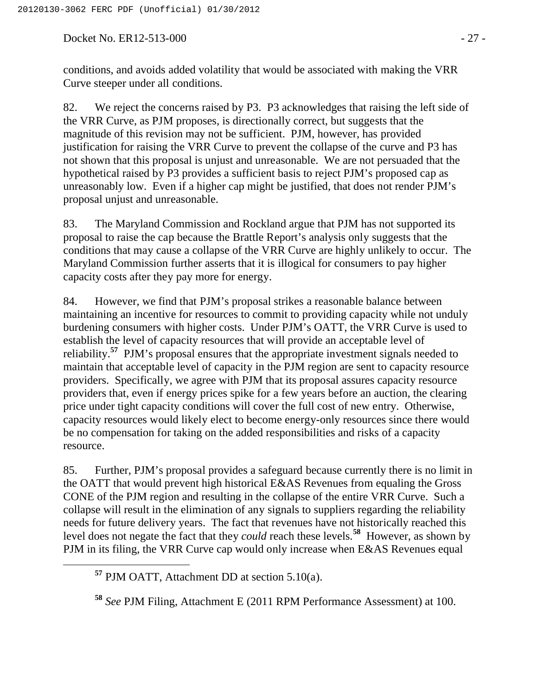Docket No. ER12-513-000 - 27 -

conditions, and avoids added volatility that would be associated with making the VRR Curve steeper under all conditions.

82. We reject the concerns raised by P3. P3 acknowledges that raising the left side of the VRR Curve, as PJM proposes, is directionally correct, but suggests that the magnitude of this revision may not be sufficient. PJM, however, has provided justification for raising the VRR Curve to prevent the collapse of the curve and P3 has not shown that this proposal is unjust and unreasonable. We are not persuaded that the hypothetical raised by P3 provides a sufficient basis to reject PJM's proposed cap as unreasonably low. Even if a higher cap might be justified, that does not render PJM's proposal unjust and unreasonable.

83. The Maryland Commission and Rockland argue that PJM has not supported its proposal to raise the cap because the Brattle Report's analysis only suggests that the conditions that may cause a collapse of the VRR Curve are highly unlikely to occur. The Maryland Commission further asserts that it is illogical for consumers to pay higher capacity costs after they pay more for energy.

84. However, we find that PJM's proposal strikes a reasonable balance between maintaining an incentive for resources to commit to providing capacity while not unduly burdening consumers with higher costs. Under PJM's OATT, the VRR Curve is used to establish the level of capacity resources that will provide an acceptable level of reliability.**<sup>57</sup>** PJM's proposal ensures that the appropriate investment signals needed to maintain that acceptable level of capacity in the PJM region are sent to capacity resource providers. Specifically, we agree with PJM that its proposal assures capacity resource providers that, even if energy prices spike for a few years before an auction, the clearing price under tight capacity conditions will cover the full cost of new entry. Otherwise, capacity resources would likely elect to become energy-only resources since there would be no compensation for taking on the added responsibilities and risks of a capacity resource.

85. Further, PJM's proposal provides a safeguard because currently there is no limit in the OATT that would prevent high historical E&AS Revenues from equaling the Gross CONE of the PJM region and resulting in the collapse of the entire VRR Curve. Such a collapse will result in the elimination of any signals to suppliers regarding the reliability needs for future delivery years. The fact that revenues have not historically reached this level does not negate the fact that they *could* reach these levels.**<sup>58</sup>** However, as shown by PJM in its filing, the VRR Curve cap would only increase when E&AS Revenues equal

**<sup>57</sup>** PJM OATT, Attachment DD at section 5.10(a).

**<sup>58</sup>** *See* PJM Filing, Attachment E (2011 RPM Performance Assessment) at 100.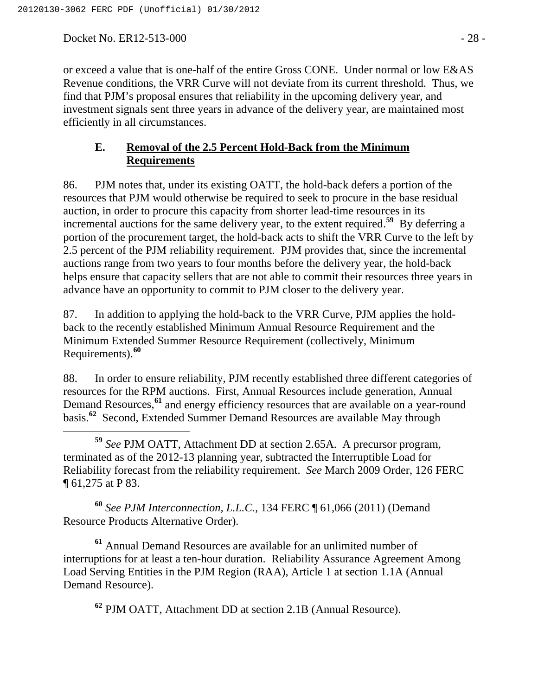Docket No. ER12-513-000 - 28 -

or exceed a value that is one-half of the entire Gross CONE. Under normal or low E&AS Revenue conditions, the VRR Curve will not deviate from its current threshold. Thus, we find that PJM's proposal ensures that reliability in the upcoming delivery year, and investment signals sent three years in advance of the delivery year, are maintained most efficiently in all circumstances.

## **E. Removal of the 2.5 Percent Hold-Back from the Minimum Requirements**

86. PJM notes that, under its existing OATT, the hold-back defers a portion of the resources that PJM would otherwise be required to seek to procure in the base residual auction, in order to procure this capacity from shorter lead-time resources in its incremental auctions for the same delivery year, to the extent required.**<sup>59</sup>** By deferring a portion of the procurement target, the hold-back acts to shift the VRR Curve to the left by 2.5 percent of the PJM reliability requirement. PJM provides that, since the incremental auctions range from two years to four months before the delivery year, the hold-back helps ensure that capacity sellers that are not able to commit their resources three years in advance have an opportunity to commit to PJM closer to the delivery year.

87. In addition to applying the hold-back to the VRR Curve, PJM applies the holdback to the recently established Minimum Annual Resource Requirement and the Minimum Extended Summer Resource Requirement (collectively, Minimum Requirements).**<sup>60</sup>**

88. In order to ensure reliability, PJM recently established three different categories of resources for the RPM auctions. First, Annual Resources include generation, Annual Demand Resources,**<sup>61</sup>** and energy efficiency resources that are available on a year-round basis.**<sup>62</sup>** Second, Extended Summer Demand Resources are available May through

 **<sup>59</sup>** *See* PJM OATT, Attachment DD at section 2.65A. A precursor program, terminated as of the 2012-13 planning year, subtracted the Interruptible Load for Reliability forecast from the reliability requirement. *See* March 2009 Order, 126 FERC ¶ 61,275 at P 83.

**<sup>60</sup>** *See PJM Interconnection, L.L.C.,* 134 FERC ¶ 61,066 (2011) (Demand Resource Products Alternative Order)*.*

**<sup>61</sup>** Annual Demand Resources are available for an unlimited number of interruptions for at least a ten-hour duration. Reliability Assurance Agreement Among Load Serving Entities in the PJM Region (RAA), Article 1 at section 1.1A (Annual Demand Resource).

**<sup>62</sup>** PJM OATT, Attachment DD at section 2.1B (Annual Resource).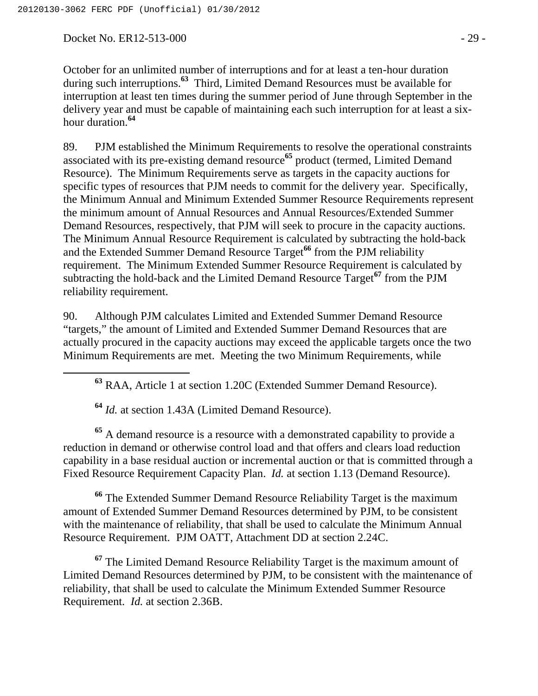Docket No. ER12-513-000 - 29 -

October for an unlimited number of interruptions and for at least a ten-hour duration during such interruptions.**<sup>63</sup>** Third, Limited Demand Resources must be available for interruption at least ten times during the summer period of June through September in the delivery year and must be capable of maintaining each such interruption for at least a sixhour duration.**<sup>64</sup>**

89. PJM established the Minimum Requirements to resolve the operational constraints associated with its pre-existing demand resource**<sup>65</sup>** product (termed, Limited Demand Resource). The Minimum Requirements serve as targets in the capacity auctions for specific types of resources that PJM needs to commit for the delivery year. Specifically, the Minimum Annual and Minimum Extended Summer Resource Requirements represent the minimum amount of Annual Resources and Annual Resources/Extended Summer Demand Resources, respectively, that PJM will seek to procure in the capacity auctions. The Minimum Annual Resource Requirement is calculated by subtracting the hold-back and the Extended Summer Demand Resource Target**<sup>66</sup>** from the PJM reliability requirement. The Minimum Extended Summer Resource Requirement is calculated by subtracting the hold-back and the Limited Demand Resource Target**<sup>67</sup>** from the PJM reliability requirement.

90. Although PJM calculates Limited and Extended Summer Demand Resource "targets," the amount of Limited and Extended Summer Demand Resources that are actually procured in the capacity auctions may exceed the applicable targets once the two Minimum Requirements are met. Meeting the two Minimum Requirements, while

**<sup>63</sup>** RAA, Article 1 at section 1.20C (Extended Summer Demand Resource).

**<sup>64</sup>** *Id.* at section 1.43A (Limited Demand Resource).

**<sup>65</sup>** A demand resource is a resource with a demonstrated capability to provide a reduction in demand or otherwise control load and that offers and clears load reduction capability in a base residual auction or incremental auction or that is committed through a Fixed Resource Requirement Capacity Plan. *Id.* at section 1.13 (Demand Resource).

**<sup>66</sup>** The Extended Summer Demand Resource Reliability Target is the maximum amount of Extended Summer Demand Resources determined by PJM, to be consistent with the maintenance of reliability, that shall be used to calculate the Minimum Annual Resource Requirement. PJM OATT, Attachment DD at section 2.24C.

**<sup>67</sup>** The Limited Demand Resource Reliability Target is the maximum amount of Limited Demand Resources determined by PJM, to be consistent with the maintenance of reliability, that shall be used to calculate the Minimum Extended Summer Resource Requirement. *Id.* at section 2.36B.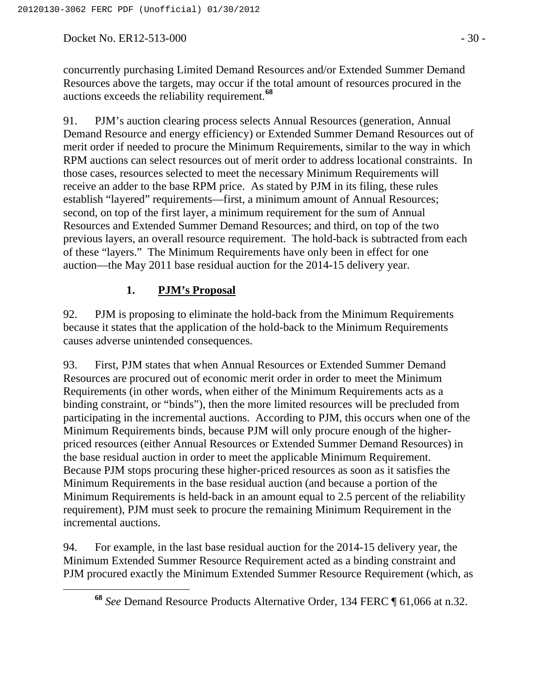Docket No. ER12-513-000 - 30 -

concurrently purchasing Limited Demand Resources and/or Extended Summer Demand Resources above the targets, may occur if the total amount of resources procured in the auctions exceeds the reliability requirement.**<sup>68</sup>**

91. PJM's auction clearing process selects Annual Resources (generation, Annual Demand Resource and energy efficiency) or Extended Summer Demand Resources out of merit order if needed to procure the Minimum Requirements, similar to the way in which RPM auctions can select resources out of merit order to address locational constraints. In those cases, resources selected to meet the necessary Minimum Requirements will receive an adder to the base RPM price. As stated by PJM in its filing, these rules establish "layered" requirements—first, a minimum amount of Annual Resources; second, on top of the first layer, a minimum requirement for the sum of Annual Resources and Extended Summer Demand Resources; and third, on top of the two previous layers, an overall resource requirement. The hold-back is subtracted from each of these "layers." The Minimum Requirements have only been in effect for one auction—the May 2011 base residual auction for the 2014-15 delivery year.

## **1. PJM's Proposal**

92. PJM is proposing to eliminate the hold-back from the Minimum Requirements because it states that the application of the hold-back to the Minimum Requirements causes adverse unintended consequences.

93. First, PJM states that when Annual Resources or Extended Summer Demand Resources are procured out of economic merit order in order to meet the Minimum Requirements (in other words, when either of the Minimum Requirements acts as a binding constraint, or "binds"), then the more limited resources will be precluded from participating in the incremental auctions. According to PJM, this occurs when one of the Minimum Requirements binds, because PJM will only procure enough of the higherpriced resources (either Annual Resources or Extended Summer Demand Resources) in the base residual auction in order to meet the applicable Minimum Requirement. Because PJM stops procuring these higher-priced resources as soon as it satisfies the Minimum Requirements in the base residual auction (and because a portion of the Minimum Requirements is held-back in an amount equal to 2.5 percent of the reliability requirement), PJM must seek to procure the remaining Minimum Requirement in the incremental auctions.

94. For example, in the last base residual auction for the 2014-15 delivery year, the Minimum Extended Summer Resource Requirement acted as a binding constraint and PJM procured exactly the Minimum Extended Summer Resource Requirement (which, as

**<sup>68</sup>** *See* Demand Resource Products Alternative Order, 134 FERC ¶ 61,066 at n.32.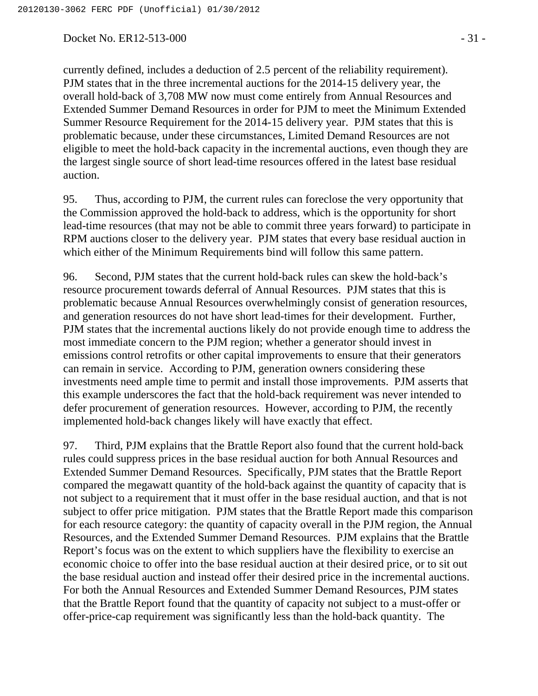Docket No. ER12-513-000 - 31 -

currently defined, includes a deduction of 2.5 percent of the reliability requirement). PJM states that in the three incremental auctions for the 2014-15 delivery year, the overall hold-back of 3,708 MW now must come entirely from Annual Resources and Extended Summer Demand Resources in order for PJM to meet the Minimum Extended Summer Resource Requirement for the 2014-15 delivery year. PJM states that this is problematic because, under these circumstances, Limited Demand Resources are not eligible to meet the hold-back capacity in the incremental auctions, even though they are the largest single source of short lead-time resources offered in the latest base residual auction.

95. Thus, according to PJM, the current rules can foreclose the very opportunity that the Commission approved the hold-back to address, which is the opportunity for short lead-time resources (that may not be able to commit three years forward) to participate in RPM auctions closer to the delivery year. PJM states that every base residual auction in which either of the Minimum Requirements bind will follow this same pattern.

96. Second, PJM states that the current hold-back rules can skew the hold-back's resource procurement towards deferral of Annual Resources. PJM states that this is problematic because Annual Resources overwhelmingly consist of generation resources, and generation resources do not have short lead-times for their development. Further, PJM states that the incremental auctions likely do not provide enough time to address the most immediate concern to the PJM region; whether a generator should invest in emissions control retrofits or other capital improvements to ensure that their generators can remain in service. According to PJM, generation owners considering these investments need ample time to permit and install those improvements. PJM asserts that this example underscores the fact that the hold-back requirement was never intended to defer procurement of generation resources. However, according to PJM, the recently implemented hold-back changes likely will have exactly that effect.

97. Third, PJM explains that the Brattle Report also found that the current hold-back rules could suppress prices in the base residual auction for both Annual Resources and Extended Summer Demand Resources. Specifically, PJM states that the Brattle Report compared the megawatt quantity of the hold-back against the quantity of capacity that is not subject to a requirement that it must offer in the base residual auction, and that is not subject to offer price mitigation. PJM states that the Brattle Report made this comparison for each resource category: the quantity of capacity overall in the PJM region, the Annual Resources, and the Extended Summer Demand Resources. PJM explains that the Brattle Report's focus was on the extent to which suppliers have the flexibility to exercise an economic choice to offer into the base residual auction at their desired price, or to sit out the base residual auction and instead offer their desired price in the incremental auctions. For both the Annual Resources and Extended Summer Demand Resources, PJM states that the Brattle Report found that the quantity of capacity not subject to a must-offer or offer-price-cap requirement was significantly less than the hold-back quantity. The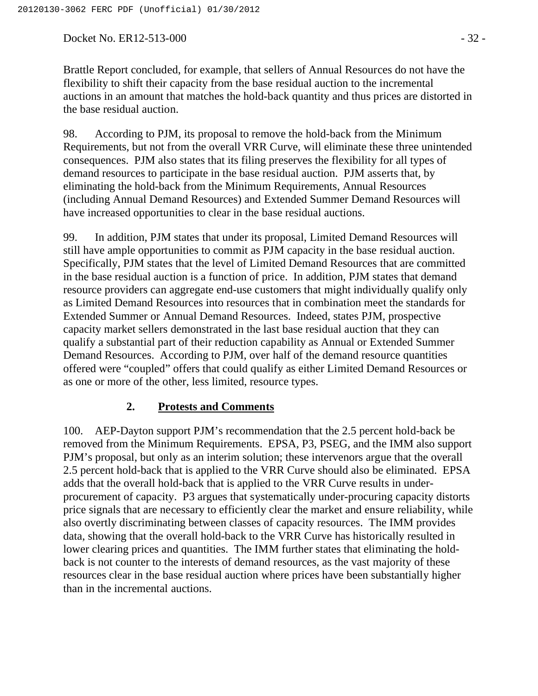Docket No. ER12-513-000 - 32 -

Brattle Report concluded, for example, that sellers of Annual Resources do not have the flexibility to shift their capacity from the base residual auction to the incremental auctions in an amount that matches the hold-back quantity and thus prices are distorted in the base residual auction.

98. According to PJM, its proposal to remove the hold-back from the Minimum Requirements, but not from the overall VRR Curve, will eliminate these three unintended consequences. PJM also states that its filing preserves the flexibility for all types of demand resources to participate in the base residual auction. PJM asserts that, by eliminating the hold-back from the Minimum Requirements, Annual Resources (including Annual Demand Resources) and Extended Summer Demand Resources will have increased opportunities to clear in the base residual auctions.

99. In addition, PJM states that under its proposal, Limited Demand Resources will still have ample opportunities to commit as PJM capacity in the base residual auction. Specifically, PJM states that the level of Limited Demand Resources that are committed in the base residual auction is a function of price. In addition, PJM states that demand resource providers can aggregate end-use customers that might individually qualify only as Limited Demand Resources into resources that in combination meet the standards for Extended Summer or Annual Demand Resources. Indeed, states PJM, prospective capacity market sellers demonstrated in the last base residual auction that they can qualify a substantial part of their reduction capability as Annual or Extended Summer Demand Resources. According to PJM, over half of the demand resource quantities offered were "coupled" offers that could qualify as either Limited Demand Resources or as one or more of the other, less limited, resource types.

#### **2. Protests and Comments**

100. AEP-Dayton support PJM's recommendation that the 2.5 percent hold-back be removed from the Minimum Requirements. EPSA, P3, PSEG, and the IMM also support PJM's proposal, but only as an interim solution; these intervenors argue that the overall 2.5 percent hold-back that is applied to the VRR Curve should also be eliminated. EPSA adds that the overall hold-back that is applied to the VRR Curve results in underprocurement of capacity. P3 argues that systematically under-procuring capacity distorts price signals that are necessary to efficiently clear the market and ensure reliability, while also overtly discriminating between classes of capacity resources. The IMM provides data, showing that the overall hold-back to the VRR Curve has historically resulted in lower clearing prices and quantities. The IMM further states that eliminating the holdback is not counter to the interests of demand resources, as the vast majority of these resources clear in the base residual auction where prices have been substantially higher than in the incremental auctions.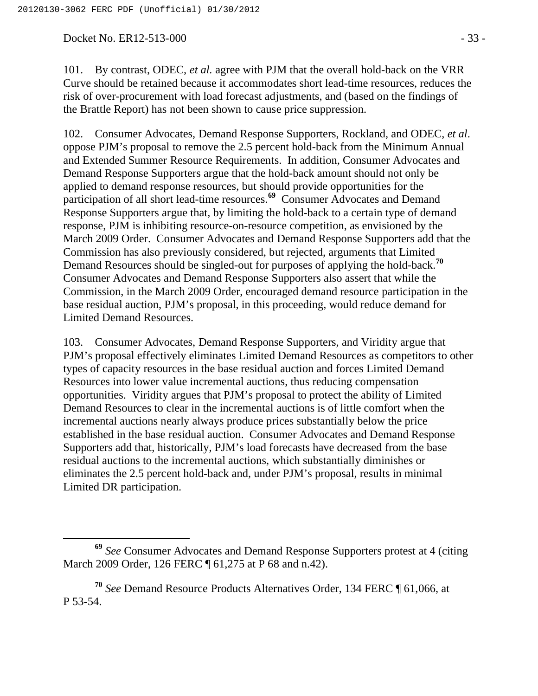Docket No. ER12-513-000 - 33 -

101. By contrast, ODEC, *et al.* agree with PJM that the overall hold-back on the VRR Curve should be retained because it accommodates short lead-time resources, reduces the risk of over-procurement with load forecast adjustments, and (based on the findings of the Brattle Report) has not been shown to cause price suppression.

102. Consumer Advocates, Demand Response Supporters, Rockland, and ODEC, *et al*. oppose PJM's proposal to remove the 2.5 percent hold-back from the Minimum Annual and Extended Summer Resource Requirements. In addition, Consumer Advocates and Demand Response Supporters argue that the hold-back amount should not only be applied to demand response resources, but should provide opportunities for the participation of all short lead-time resources.**<sup>69</sup>** Consumer Advocates and Demand Response Supporters argue that, by limiting the hold-back to a certain type of demand response, PJM is inhibiting resource-on-resource competition, as envisioned by the March 2009 Order. Consumer Advocates and Demand Response Supporters add that the Commission has also previously considered, but rejected, arguments that Limited Demand Resources should be singled-out for purposes of applying the hold-back.**<sup>70</sup>** Consumer Advocates and Demand Response Supporters also assert that while the Commission, in the March 2009 Order, encouraged demand resource participation in the base residual auction, PJM's proposal, in this proceeding, would reduce demand for Limited Demand Resources.

103. Consumer Advocates, Demand Response Supporters, and Viridity argue that PJM's proposal effectively eliminates Limited Demand Resources as competitors to other types of capacity resources in the base residual auction and forces Limited Demand Resources into lower value incremental auctions, thus reducing compensation opportunities. Viridity argues that PJM's proposal to protect the ability of Limited Demand Resources to clear in the incremental auctions is of little comfort when the incremental auctions nearly always produce prices substantially below the price established in the base residual auction. Consumer Advocates and Demand Response Supporters add that, historically, PJM's load forecasts have decreased from the base residual auctions to the incremental auctions, which substantially diminishes or eliminates the 2.5 percent hold-back and, under PJM's proposal, results in minimal Limited DR participation.

**<sup>69</sup>** *See* Consumer Advocates and Demand Response Supporters protest at 4 (citing March 2009 Order, 126 FERC ¶ 61,275 at P 68 and n.42).

**<sup>70</sup>** *See* Demand Resource Products Alternatives Order, 134 FERC ¶ 61,066, at P 53-54.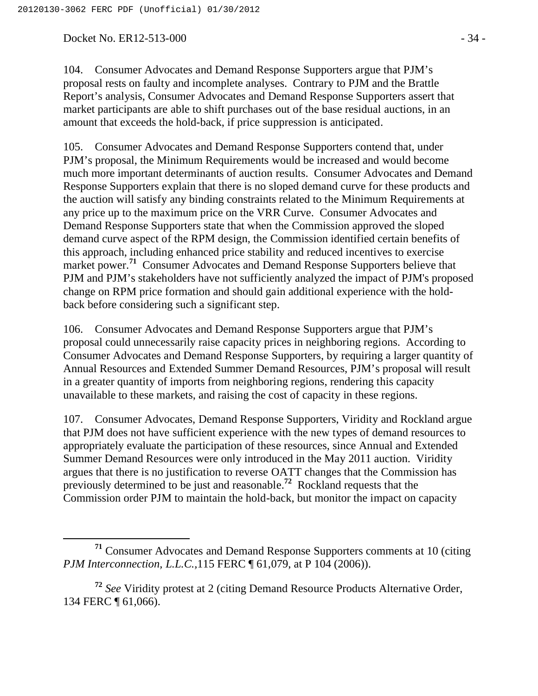Docket No. ER12-513-000 - 34 -

104. Consumer Advocates and Demand Response Supporters argue that PJM's proposal rests on faulty and incomplete analyses. Contrary to PJM and the Brattle Report's analysis, Consumer Advocates and Demand Response Supporters assert that market participants are able to shift purchases out of the base residual auctions, in an amount that exceeds the hold-back, if price suppression is anticipated.

105. Consumer Advocates and Demand Response Supporters contend that, under PJM's proposal, the Minimum Requirements would be increased and would become much more important determinants of auction results. Consumer Advocates and Demand Response Supporters explain that there is no sloped demand curve for these products and the auction will satisfy any binding constraints related to the Minimum Requirements at any price up to the maximum price on the VRR Curve. Consumer Advocates and Demand Response Supporters state that when the Commission approved the sloped demand curve aspect of the RPM design, the Commission identified certain benefits of this approach, including enhanced price stability and reduced incentives to exercise market power.<sup>71</sup> Consumer Advocates and Demand Response Supporters believe that PJM and PJM's stakeholders have not sufficiently analyzed the impact of PJM's proposed change on RPM price formation and should gain additional experience with the holdback before considering such a significant step.

106. Consumer Advocates and Demand Response Supporters argue that PJM's proposal could unnecessarily raise capacity prices in neighboring regions. According to Consumer Advocates and Demand Response Supporters, by requiring a larger quantity of Annual Resources and Extended Summer Demand Resources, PJM's proposal will result in a greater quantity of imports from neighboring regions, rendering this capacity unavailable to these markets, and raising the cost of capacity in these regions.

107. Consumer Advocates, Demand Response Supporters, Viridity and Rockland argue that PJM does not have sufficient experience with the new types of demand resources to appropriately evaluate the participation of these resources, since Annual and Extended Summer Demand Resources were only introduced in the May 2011 auction. Viridity argues that there is no justification to reverse OATT changes that the Commission has previously determined to be just and reasonable.**<sup>72</sup>** Rockland requests that the Commission order PJM to maintain the hold-back, but monitor the impact on capacity

**<sup>71</sup>** Consumer Advocates and Demand Response Supporters comments at 10 (citing *PJM Interconnection, L.L.C.,*115 FERC ¶ 61,079, at P 104 (2006)).

**<sup>72</sup>** *See* Viridity protest at 2 (citing Demand Resource Products Alternative Order, 134 FERC ¶ 61,066).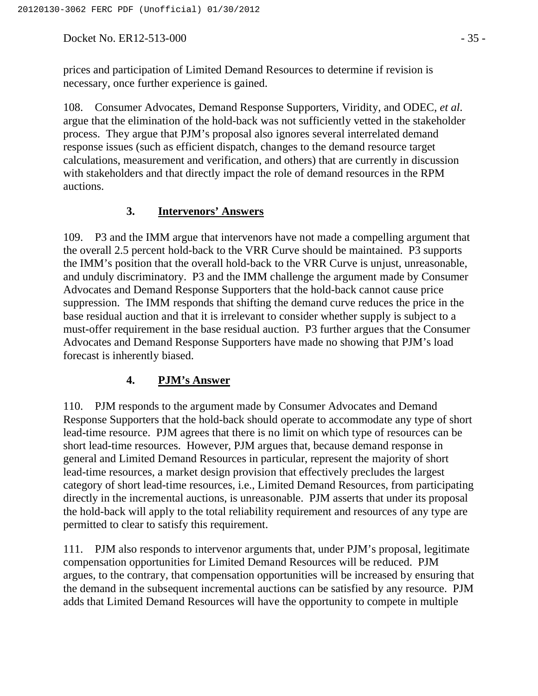Docket No. ER12-513-000 - 35 -

prices and participation of Limited Demand Resources to determine if revision is necessary, once further experience is gained.

108. Consumer Advocates, Demand Response Supporters, Viridity, and ODEC, *et al*. argue that the elimination of the hold-back was not sufficiently vetted in the stakeholder process. They argue that PJM's proposal also ignores several interrelated demand response issues (such as efficient dispatch, changes to the demand resource target calculations, measurement and verification, and others) that are currently in discussion with stakeholders and that directly impact the role of demand resources in the RPM auctions.

#### **3. Intervenors' Answers**

109. P3 and the IMM argue that intervenors have not made a compelling argument that the overall 2.5 percent hold-back to the VRR Curve should be maintained. P3 supports the IMM's position that the overall hold-back to the VRR Curve is unjust, unreasonable, and unduly discriminatory. P3 and the IMM challenge the argument made by Consumer Advocates and Demand Response Supporters that the hold-back cannot cause price suppression. The IMM responds that shifting the demand curve reduces the price in the base residual auction and that it is irrelevant to consider whether supply is subject to a must-offer requirement in the base residual auction. P3 further argues that the Consumer Advocates and Demand Response Supporters have made no showing that PJM's load forecast is inherently biased.

#### **4. PJM's Answer**

110. PJM responds to the argument made by Consumer Advocates and Demand Response Supporters that the hold-back should operate to accommodate any type of short lead-time resource. PJM agrees that there is no limit on which type of resources can be short lead-time resources. However, PJM argues that, because demand response in general and Limited Demand Resources in particular, represent the majority of short lead-time resources, a market design provision that effectively precludes the largest category of short lead-time resources, i.e., Limited Demand Resources, from participating directly in the incremental auctions, is unreasonable. PJM asserts that under its proposal the hold-back will apply to the total reliability requirement and resources of any type are permitted to clear to satisfy this requirement.

111. PJM also responds to intervenor arguments that, under PJM's proposal, legitimate compensation opportunities for Limited Demand Resources will be reduced. PJM argues, to the contrary, that compensation opportunities will be increased by ensuring that the demand in the subsequent incremental auctions can be satisfied by any resource. PJM adds that Limited Demand Resources will have the opportunity to compete in multiple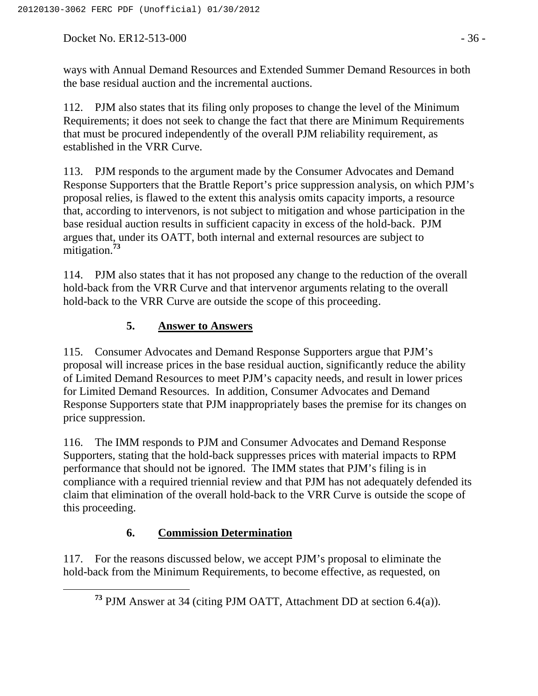Docket No. ER12-513-000 - 36 -

ways with Annual Demand Resources and Extended Summer Demand Resources in both the base residual auction and the incremental auctions.

112. PJM also states that its filing only proposes to change the level of the Minimum Requirements; it does not seek to change the fact that there are Minimum Requirements that must be procured independently of the overall PJM reliability requirement, as established in the VRR Curve.

113. PJM responds to the argument made by the Consumer Advocates and Demand Response Supporters that the Brattle Report's price suppression analysis, on which PJM's proposal relies, is flawed to the extent this analysis omits capacity imports, a resource that, according to intervenors, is not subject to mitigation and whose participation in the base residual auction results in sufficient capacity in excess of the hold-back. PJM argues that, under its OATT, both internal and external resources are subject to mitigation.**<sup>73</sup>**

114. PJM also states that it has not proposed any change to the reduction of the overall hold-back from the VRR Curve and that intervenor arguments relating to the overall hold-back to the VRR Curve are outside the scope of this proceeding.

## **5. Answer to Answers**

115. Consumer Advocates and Demand Response Supporters argue that PJM's proposal will increase prices in the base residual auction, significantly reduce the ability of Limited Demand Resources to meet PJM's capacity needs, and result in lower prices for Limited Demand Resources. In addition, Consumer Advocates and Demand Response Supporters state that PJM inappropriately bases the premise for its changes on price suppression.

116. The IMM responds to PJM and Consumer Advocates and Demand Response Supporters, stating that the hold-back suppresses prices with material impacts to RPM performance that should not be ignored. The IMM states that PJM's filing is in compliance with a required triennial review and that PJM has not adequately defended its claim that elimination of the overall hold-back to the VRR Curve is outside the scope of this proceeding.

# **6. Commission Determination**

117. For the reasons discussed below, we accept PJM's proposal to eliminate the hold-back from the Minimum Requirements, to become effective, as requested, on

**<sup>73</sup>** PJM Answer at 34 (citing PJM OATT, Attachment DD at section 6.4(a)).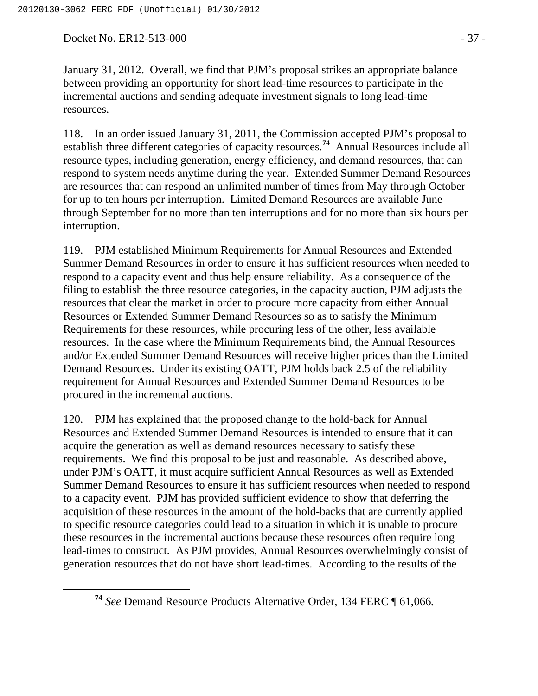Docket No. ER12-513-000 - 37 -

January 31, 2012. Overall, we find that PJM's proposal strikes an appropriate balance between providing an opportunity for short lead-time resources to participate in the incremental auctions and sending adequate investment signals to long lead-time resources.

118. In an order issued January 31, 2011, the Commission accepted PJM's proposal to establish three different categories of capacity resources.**<sup>74</sup>** Annual Resources include all resource types, including generation, energy efficiency, and demand resources, that can respond to system needs anytime during the year. Extended Summer Demand Resources are resources that can respond an unlimited number of times from May through October for up to ten hours per interruption. Limited Demand Resources are available June through September for no more than ten interruptions and for no more than six hours per interruption.

119. PJM established Minimum Requirements for Annual Resources and Extended Summer Demand Resources in order to ensure it has sufficient resources when needed to respond to a capacity event and thus help ensure reliability. As a consequence of the filing to establish the three resource categories, in the capacity auction, PJM adjusts the resources that clear the market in order to procure more capacity from either Annual Resources or Extended Summer Demand Resources so as to satisfy the Minimum Requirements for these resources, while procuring less of the other, less available resources. In the case where the Minimum Requirements bind, the Annual Resources and/or Extended Summer Demand Resources will receive higher prices than the Limited Demand Resources. Under its existing OATT, PJM holds back 2.5 of the reliability requirement for Annual Resources and Extended Summer Demand Resources to be procured in the incremental auctions.

120. PJM has explained that the proposed change to the hold-back for Annual Resources and Extended Summer Demand Resources is intended to ensure that it can acquire the generation as well as demand resources necessary to satisfy these requirements. We find this proposal to be just and reasonable. As described above, under PJM's OATT, it must acquire sufficient Annual Resources as well as Extended Summer Demand Resources to ensure it has sufficient resources when needed to respond to a capacity event. PJM has provided sufficient evidence to show that deferring the acquisition of these resources in the amount of the hold-backs that are currently applied to specific resource categories could lead to a situation in which it is unable to procure these resources in the incremental auctions because these resources often require long lead-times to construct. As PJM provides, Annual Resources overwhelmingly consist of generation resources that do not have short lead-times. According to the results of the

**<sup>74</sup>** *See* Demand Resource Products Alternative Order, 134 FERC ¶ 61,066*.*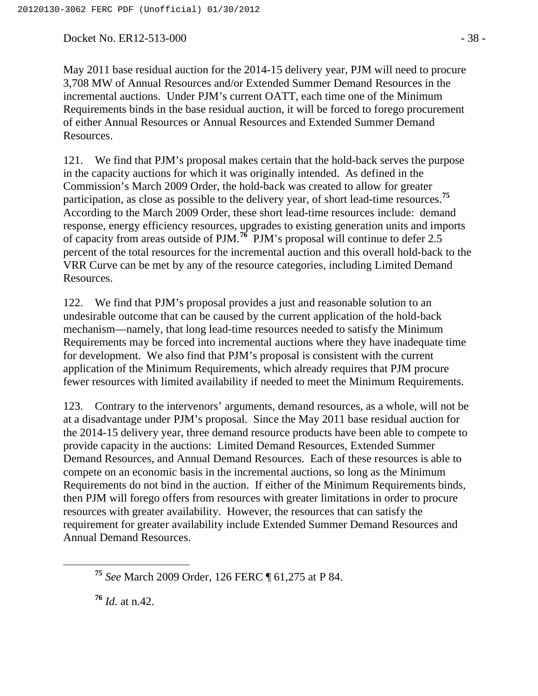Docket No. ER12-513-000 - 38 -

May 2011 base residual auction for the 2014-15 delivery year, PJM will need to procure 3,708 MW of Annual Resources and/or Extended Summer Demand Resources in the incremental auctions. Under PJM's current OATT, each time one of the Minimum Requirements binds in the base residual auction, it will be forced to forego procurement of either Annual Resources or Annual Resources and Extended Summer Demand Resources.

121. We find that PJM's proposal makes certain that the hold-back serves the purpose in the capacity auctions for which it was originally intended. As defined in the Commission's March 2009 Order, the hold-back was created to allow for greater participation, as close as possible to the delivery year, of short lead-time resources.**<sup>75</sup>** According to the March 2009 Order, these short lead-time resources include: demand response, energy efficiency resources, upgrades to existing generation units and imports of capacity from areas outside of PJM.**<sup>76</sup>** PJM's proposal will continue to defer 2.5 percent of the total resources for the incremental auction and this overall hold-back to the VRR Curve can be met by any of the resource categories, including Limited Demand Resources.

122. We find that PJM's proposal provides a just and reasonable solution to an undesirable outcome that can be caused by the current application of the hold-back mechanism—namely, that long lead-time resources needed to satisfy the Minimum Requirements may be forced into incremental auctions where they have inadequate time for development. We also find that PJM's proposal is consistent with the current application of the Minimum Requirements, which already requires that PJM procure fewer resources with limited availability if needed to meet the Minimum Requirements.

123. Contrary to the intervenors' arguments, demand resources, as a whole, will not be at a disadvantage under PJM's proposal. Since the May 2011 base residual auction for the 2014-15 delivery year, three demand resource products have been able to compete to provide capacity in the auctions: Limited Demand Resources, Extended Summer Demand Resources, and Annual Demand Resources. Each of these resources is able to compete on an economic basis in the incremental auctions, so long as the Minimum Requirements do not bind in the auction. If either of the Minimum Requirements binds, then PJM will forego offers from resources with greater limitations in order to procure resources with greater availability. However, the resources that can satisfy the requirement for greater availability include Extended Summer Demand Resources and Annual Demand Resources.

**<sup>76</sup>** *Id.* at n.42.

**<sup>75</sup>** *See* March 2009 Order, 126 FERC ¶ 61,275 at P 84.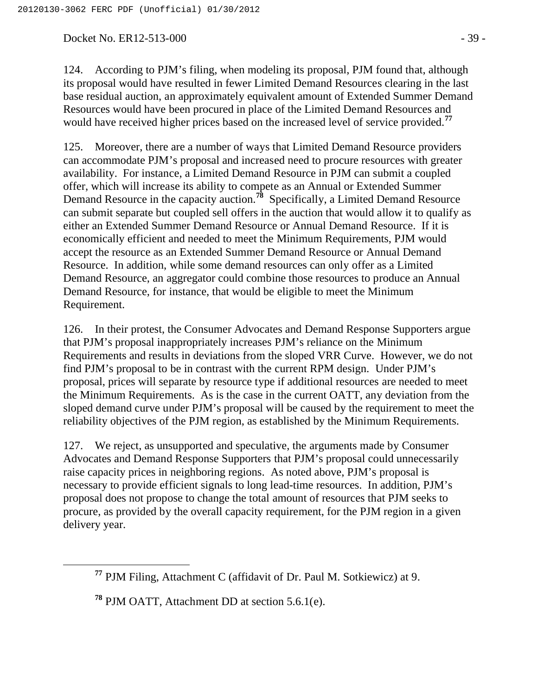Docket No. ER12-513-000 - 39 -

124. According to PJM's filing, when modeling its proposal, PJM found that, although its proposal would have resulted in fewer Limited Demand Resources clearing in the last base residual auction, an approximately equivalent amount of Extended Summer Demand Resources would have been procured in place of the Limited Demand Resources and would have received higher prices based on the increased level of service provided.**<sup>77</sup>**

125. Moreover, there are a number of ways that Limited Demand Resource providers can accommodate PJM's proposal and increased need to procure resources with greater availability. For instance, a Limited Demand Resource in PJM can submit a coupled offer, which will increase its ability to compete as an Annual or Extended Summer Demand Resource in the capacity auction.**<sup>78</sup>** Specifically, a Limited Demand Resource can submit separate but coupled sell offers in the auction that would allow it to qualify as either an Extended Summer Demand Resource or Annual Demand Resource. If it is economically efficient and needed to meet the Minimum Requirements, PJM would accept the resource as an Extended Summer Demand Resource or Annual Demand Resource. In addition, while some demand resources can only offer as a Limited Demand Resource, an aggregator could combine those resources to produce an Annual Demand Resource, for instance, that would be eligible to meet the Minimum Requirement.

126. In their protest, the Consumer Advocates and Demand Response Supporters argue that PJM's proposal inappropriately increases PJM's reliance on the Minimum Requirements and results in deviations from the sloped VRR Curve. However, we do not find PJM's proposal to be in contrast with the current RPM design. Under PJM's proposal, prices will separate by resource type if additional resources are needed to meet the Minimum Requirements. As is the case in the current OATT, any deviation from the sloped demand curve under PJM's proposal will be caused by the requirement to meet the reliability objectives of the PJM region, as established by the Minimum Requirements.

127. We reject, as unsupported and speculative, the arguments made by Consumer Advocates and Demand Response Supporters that PJM's proposal could unnecessarily raise capacity prices in neighboring regions. As noted above, PJM's proposal is necessary to provide efficient signals to long lead-time resources. In addition, PJM's proposal does not propose to change the total amount of resources that PJM seeks to procure, as provided by the overall capacity requirement, for the PJM region in a given delivery year.

**<sup>77</sup>** PJM Filing, Attachment C (affidavit of Dr. Paul M. Sotkiewicz) at 9.

**<sup>78</sup>** PJM OATT, Attachment DD at section 5.6.1(e).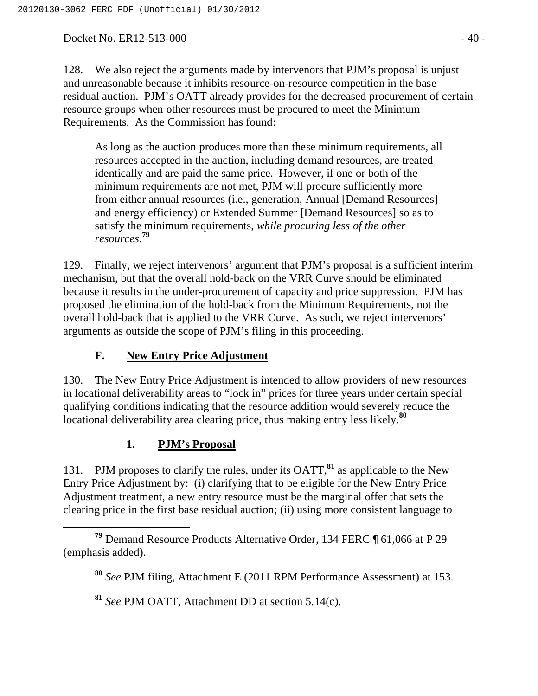Docket No. ER12-513-000 - 40 -

128. We also reject the arguments made by intervenors that PJM's proposal is unjust and unreasonable because it inhibits resource-on-resource competition in the base residual auction. PJM's OATT already provides for the decreased procurement of certain resource groups when other resources must be procured to meet the Minimum Requirements. As the Commission has found:

As long as the auction produces more than these minimum requirements, all resources accepted in the auction, including demand resources, are treated identically and are paid the same price. However, if one or both of the minimum requirements are not met, PJM will procure sufficiently more from either annual resources (i.e., generation, Annual [Demand Resources] and energy efficiency) or Extended Summer [Demand Resources] so as to satisfy the minimum requirements, *while procuring less of the other resources*. **79**

129. Finally, we reject intervenors' argument that PJM's proposal is a sufficient interim mechanism, but that the overall hold-back on the VRR Curve should be eliminated because it results in the under-procurement of capacity and price suppression. PJM has proposed the elimination of the hold-back from the Minimum Requirements, not the overall hold-back that is applied to the VRR Curve. As such, we reject intervenors' arguments as outside the scope of PJM's filing in this proceeding.

# **F. New Entry Price Adjustment**

130. The New Entry Price Adjustment is intended to allow providers of new resources in locational deliverability areas to "lock in" prices for three years under certain special qualifying conditions indicating that the resource addition would severely reduce the locational deliverability area clearing price, thus making entry less likely.**<sup>80</sup>**

## **1. PJM's Proposal**

131. PJM proposes to clarify the rules, under its OATT,**<sup>81</sup>** as applicable to the New Entry Price Adjustment by: (i) clarifying that to be eligible for the New Entry Price Adjustment treatment, a new entry resource must be the marginal offer that sets the clearing price in the first base residual auction; (ii) using more consistent language to

**<sup>81</sup>** *See* PJM OATT, Attachment DD at section 5.14(c).

**<sup>79</sup>** Demand Resource Products Alternative Order, 134 FERC ¶ 61,066 at P 29 (emphasis added).

**<sup>80</sup>** *See* PJM filing, Attachment E (2011 RPM Performance Assessment) at 153.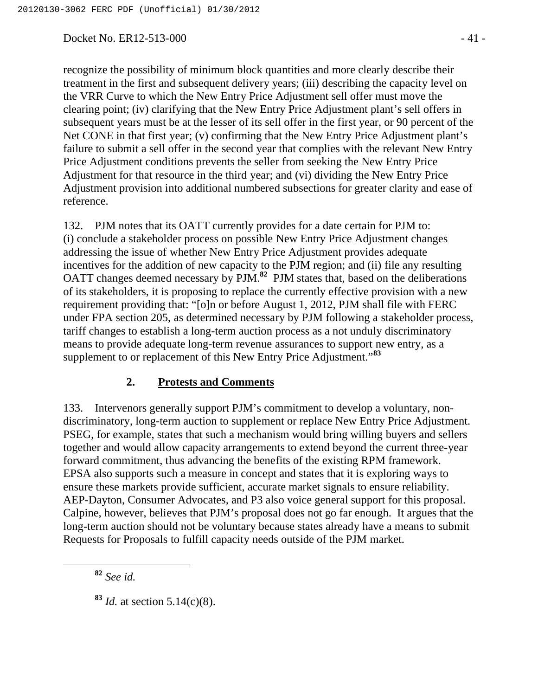Docket No. ER12-513-000 - 41 -

recognize the possibility of minimum block quantities and more clearly describe their treatment in the first and subsequent delivery years; (iii) describing the capacity level on the VRR Curve to which the New Entry Price Adjustment sell offer must move the clearing point; (iv) clarifying that the New Entry Price Adjustment plant's sell offers in subsequent years must be at the lesser of its sell offer in the first year, or 90 percent of the Net CONE in that first year; (v) confirming that the New Entry Price Adjustment plant's failure to submit a sell offer in the second year that complies with the relevant New Entry Price Adjustment conditions prevents the seller from seeking the New Entry Price Adjustment for that resource in the third year; and (vi) dividing the New Entry Price Adjustment provision into additional numbered subsections for greater clarity and ease of reference.

132. PJM notes that its OATT currently provides for a date certain for PJM to: (i) conclude a stakeholder process on possible New Entry Price Adjustment changes addressing the issue of whether New Entry Price Adjustment provides adequate incentives for the addition of new capacity to the PJM region; and (ii) file any resulting OATT changes deemed necessary by PJM.**<sup>82</sup>** PJM states that, based on the deliberations of its stakeholders, it is proposing to replace the currently effective provision with a new requirement providing that: "[o]n or before August 1, 2012, PJM shall file with FERC under FPA section 205, as determined necessary by PJM following a stakeholder process, tariff changes to establish a long-term auction process as a not unduly discriminatory means to provide adequate long-term revenue assurances to support new entry, as a supplement to or replacement of this New Entry Price Adjustment."**<sup>83</sup>**

#### **2. Protests and Comments**

133. Intervenors generally support PJM's commitment to develop a voluntary, nondiscriminatory, long-term auction to supplement or replace New Entry Price Adjustment. PSEG, for example, states that such a mechanism would bring willing buyers and sellers together and would allow capacity arrangements to extend beyond the current three-year forward commitment, thus advancing the benefits of the existing RPM framework. EPSA also supports such a measure in concept and states that it is exploring ways to ensure these markets provide sufficient, accurate market signals to ensure reliability. AEP-Dayton, Consumer Advocates, and P3 also voice general support for this proposal. Calpine, however, believes that PJM's proposal does not go far enough. It argues that the long-term auction should not be voluntary because states already have a means to submit Requests for Proposals to fulfill capacity needs outside of the PJM market.

**<sup>82</sup>** *See id.*

**<sup>83</sup>** *Id.* at section 5.14(c)(8).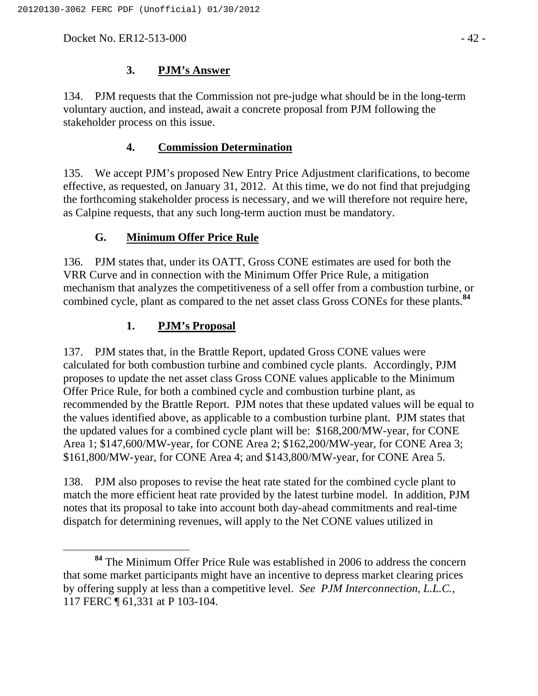Docket No. ER12-513-000 - 42 -

## **3. PJM's Answer**

134. PJM requests that the Commission not pre-judge what should be in the long-term voluntary auction, and instead, await a concrete proposal from PJM following the stakeholder process on this issue.

## **4. Commission Determination**

135. We accept PJM's proposed New Entry Price Adjustment clarifications, to become effective, as requested, on January 31, 2012. At this time, we do not find that prejudging the forthcoming stakeholder process is necessary, and we will therefore not require here, as Calpine requests, that any such long-term auction must be mandatory.

### **G. Minimum Offer Price Rule**

136. PJM states that, under its OATT, Gross CONE estimates are used for both the VRR Curve and in connection with the Minimum Offer Price Rule, a mitigation mechanism that analyzes the competitiveness of a sell offer from a combustion turbine, or combined cycle, plant as compared to the net asset class Gross CONEs for these plants.**<sup>84</sup>**

## **1. PJM's Proposal**

137. PJM states that, in the Brattle Report, updated Gross CONE values were calculated for both combustion turbine and combined cycle plants. Accordingly, PJM proposes to update the net asset class Gross CONE values applicable to the Minimum Offer Price Rule, for both a combined cycle and combustion turbine plant, as recommended by the Brattle Report. PJM notes that these updated values will be equal to the values identified above, as applicable to a combustion turbine plant. PJM states that the updated values for a combined cycle plant will be: \$168,200/MW-year, for CONE Area 1; \$147,600/MW-year, for CONE Area 2; \$162,200/MW-year, for CONE Area 3; \$161,800/MW-year, for CONE Area 4; and \$143,800/MW-year, for CONE Area 5.

138. PJM also proposes to revise the heat rate stated for the combined cycle plant to match the more efficient heat rate provided by the latest turbine model. In addition, PJM notes that its proposal to take into account both day-ahead commitments and real-time dispatch for determining revenues, will apply to the Net CONE values utilized in

**<sup>84</sup>** The Minimum Offer Price Rule was established in 2006 to address the concern that some market participants might have an incentive to depress market clearing prices by offering supply at less than a competitive level. *See PJM Interconnection, L.L.C.,*  117 FERC ¶ 61,331 at P 103-104.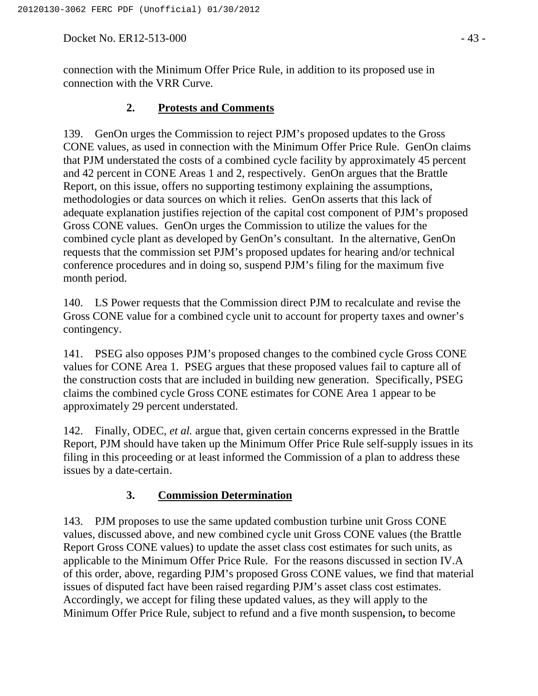Docket No. ER12-513-000 - 43 -

connection with the Minimum Offer Price Rule, in addition to its proposed use in connection with the VRR Curve.

## **2. Protests and Comments**

139. GenOn urges the Commission to reject PJM's proposed updates to the Gross CONE values, as used in connection with the Minimum Offer Price Rule. GenOn claims that PJM understated the costs of a combined cycle facility by approximately 45 percent and 42 percent in CONE Areas 1 and 2, respectively. GenOn argues that the Brattle Report, on this issue, offers no supporting testimony explaining the assumptions, methodologies or data sources on which it relies. GenOn asserts that this lack of adequate explanation justifies rejection of the capital cost component of PJM's proposed Gross CONE values. GenOn urges the Commission to utilize the values for the combined cycle plant as developed by GenOn's consultant. In the alternative, GenOn requests that the commission set PJM's proposed updates for hearing and/or technical conference procedures and in doing so, suspend PJM's filing for the maximum five month period.

140. LS Power requests that the Commission direct PJM to recalculate and revise the Gross CONE value for a combined cycle unit to account for property taxes and owner's contingency.

141. PSEG also opposes PJM's proposed changes to the combined cycle Gross CONE values for CONE Area 1. PSEG argues that these proposed values fail to capture all of the construction costs that are included in building new generation. Specifically, PSEG claims the combined cycle Gross CONE estimates for CONE Area 1 appear to be approximately 29 percent understated.

142. Finally, ODEC, *et al.* argue that, given certain concerns expressed in the Brattle Report, PJM should have taken up the Minimum Offer Price Rule self-supply issues in its filing in this proceeding or at least informed the Commission of a plan to address these issues by a date-certain.

# **3. Commission Determination**

143. PJM proposes to use the same updated combustion turbine unit Gross CONE values, discussed above, and new combined cycle unit Gross CONE values (the Brattle Report Gross CONE values) to update the asset class cost estimates for such units, as applicable to the Minimum Offer Price Rule. For the reasons discussed in section IV.A of this order, above, regarding PJM's proposed Gross CONE values, we find that material issues of disputed fact have been raised regarding PJM's asset class cost estimates. Accordingly, we accept for filing these updated values, as they will apply to the Minimum Offer Price Rule, subject to refund and a five month suspension**,** to become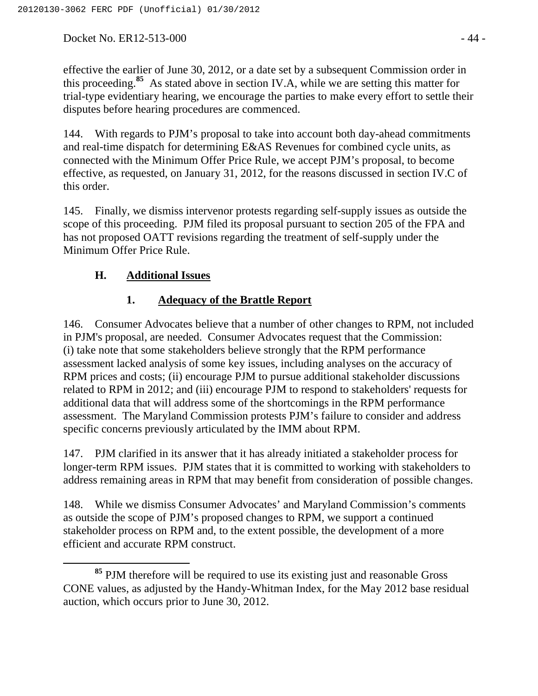Docket No. ER12-513-000 - 44 -

effective the earlier of June 30, 2012, or a date set by a subsequent Commission order in this proceeding.**<sup>85</sup>** As stated above in section IV.A, while we are setting this matter for trial-type evidentiary hearing, we encourage the parties to make every effort to settle their disputes before hearing procedures are commenced.

144. With regards to PJM's proposal to take into account both day-ahead commitments and real-time dispatch for determining E&AS Revenues for combined cycle units, as connected with the Minimum Offer Price Rule, we accept PJM's proposal, to become effective, as requested, on January 31, 2012, for the reasons discussed in section IV.C of this order.

145. Finally, we dismiss intervenor protests regarding self-supply issues as outside the scope of this proceeding. PJM filed its proposal pursuant to section 205 of the FPA and has not proposed OATT revisions regarding the treatment of self-supply under the Minimum Offer Price Rule.

## **H. Additional Issues**

## **1. Adequacy of the Brattle Report**

146. Consumer Advocates believe that a number of other changes to RPM, not included in PJM's proposal, are needed. Consumer Advocates request that the Commission: (i) take note that some stakeholders believe strongly that the RPM performance assessment lacked analysis of some key issues, including analyses on the accuracy of RPM prices and costs; (ii) encourage PJM to pursue additional stakeholder discussions related to RPM in 2012; and (iii) encourage PJM to respond to stakeholders' requests for additional data that will address some of the shortcomings in the RPM performance assessment. The Maryland Commission protests PJM's failure to consider and address specific concerns previously articulated by the IMM about RPM.

147. PJM clarified in its answer that it has already initiated a stakeholder process for longer-term RPM issues. PJM states that it is committed to working with stakeholders to address remaining areas in RPM that may benefit from consideration of possible changes.

148. While we dismiss Consumer Advocates' and Maryland Commission's comments as outside the scope of PJM's proposed changes to RPM, we support a continued stakeholder process on RPM and, to the extent possible, the development of a more efficient and accurate RPM construct.

**<sup>85</sup>** PJM therefore will be required to use its existing just and reasonable Gross CONE values, as adjusted by the Handy-Whitman Index, for the May 2012 base residual auction, which occurs prior to June 30, 2012.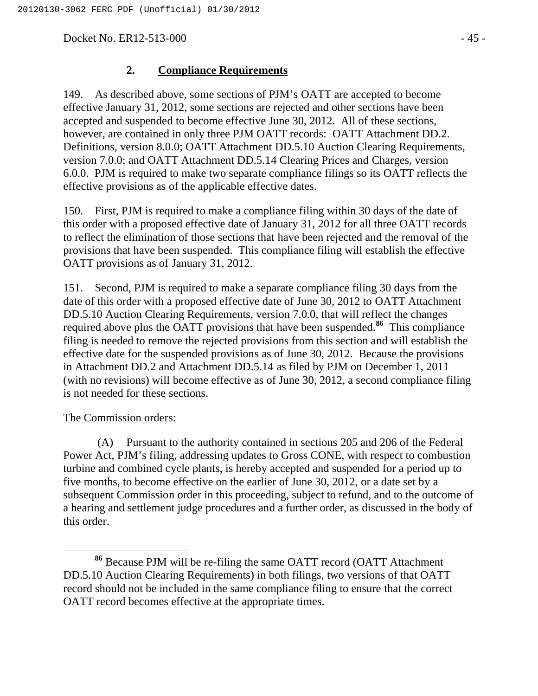Docket No. ER12-513-000 - 45 -

#### **2. Compliance Requirements**

149. As described above, some sections of PJM's OATT are accepted to become effective January 31, 2012, some sections are rejected and other sections have been accepted and suspended to become effective June 30, 2012. All of these sections, however, are contained in only three PJM OATT records: OATT Attachment DD.2. Definitions, version 8.0.0; OATT Attachment DD.5.10 Auction Clearing Requirements, version 7.0.0; and OATT Attachment DD.5.14 Clearing Prices and Charges, version 6.0.0. PJM is required to make two separate compliance filings so its OATT reflects the effective provisions as of the applicable effective dates.

150. First, PJM is required to make a compliance filing within 30 days of the date of this order with a proposed effective date of January 31, 2012 for all three OATT records to reflect the elimination of those sections that have been rejected and the removal of the provisions that have been suspended. This compliance filing will establish the effective OATT provisions as of January 31, 2012.

151. Second, PJM is required to make a separate compliance filing 30 days from the date of this order with a proposed effective date of June 30, 2012 to OATT Attachment DD.5.10 Auction Clearing Requirements, version 7.0.0, that will reflect the changes required above plus the OATT provisions that have been suspended.**<sup>86</sup>** This compliance filing is needed to remove the rejected provisions from this section and will establish the effective date for the suspended provisions as of June 30, 2012. Because the provisions in Attachment DD.2 and Attachment DD.5.14 as filed by PJM on December 1, 2011 (with no revisions) will become effective as of June 30, 2012, a second compliance filing is not needed for these sections.

#### The Commission orders:

(A) Pursuant to the authority contained in sections 205 and 206 of the Federal Power Act, PJM's filing, addressing updates to Gross CONE, with respect to combustion turbine and combined cycle plants, is hereby accepted and suspended for a period up to five months, to become effective on the earlier of June 30, 2012, or a date set by a subsequent Commission order in this proceeding, subject to refund, and to the outcome of a hearing and settlement judge procedures and a further order, as discussed in the body of this order.

**<sup>86</sup>** Because PJM will be re-filing the same OATT record (OATT Attachment DD.5.10 Auction Clearing Requirements) in both filings, two versions of that OATT record should not be included in the same compliance filing to ensure that the correct OATT record becomes effective at the appropriate times.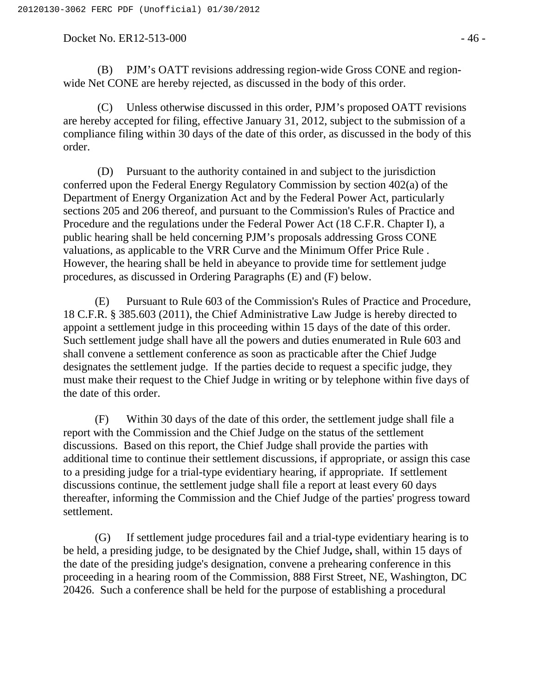Docket No. ER12-513-000 - 46 -

(B) PJM's OATT revisions addressing region-wide Gross CONE and regionwide Net CONE are hereby rejected, as discussed in the body of this order.

(C) Unless otherwise discussed in this order, PJM's proposed OATT revisions are hereby accepted for filing, effective January 31, 2012, subject to the submission of a compliance filing within 30 days of the date of this order, as discussed in the body of this order.

(D) Pursuant to the authority contained in and subject to the jurisdiction conferred upon the Federal Energy Regulatory Commission by section 402(a) of the Department of Energy Organization Act and by the Federal Power Act, particularly sections 205 and 206 thereof, and pursuant to the Commission's Rules of Practice and Procedure and the regulations under the Federal Power Act (18 C.F.R. Chapter I), a public hearing shall be held concerning PJM's proposals addressing Gross CONE valuations, as applicable to the VRR Curve and the Minimum Offer Price Rule . However, the hearing shall be held in abeyance to provide time for settlement judge procedures, as discussed in Ordering Paragraphs (E) and (F) below.

(E) Pursuant to Rule 603 of the Commission's Rules of Practice and Procedure, 18 C.F.R. § 385.603 (2011), the Chief Administrative Law Judge is hereby directed to appoint a settlement judge in this proceeding within 15 days of the date of this order. Such settlement judge shall have all the powers and duties enumerated in Rule 603 and shall convene a settlement conference as soon as practicable after the Chief Judge designates the settlement judge. If the parties decide to request a specific judge, they must make their request to the Chief Judge in writing or by telephone within five days of the date of this order.

(F) Within 30 days of the date of this order, the settlement judge shall file a report with the Commission and the Chief Judge on the status of the settlement discussions. Based on this report, the Chief Judge shall provide the parties with additional time to continue their settlement discussions, if appropriate, or assign this case to a presiding judge for a trial-type evidentiary hearing, if appropriate. If settlement discussions continue, the settlement judge shall file a report at least every 60 days thereafter, informing the Commission and the Chief Judge of the parties' progress toward settlement.

(G) If settlement judge procedures fail and a trial-type evidentiary hearing is to be held, a presiding judge, to be designated by the Chief Judge**,** shall, within 15 days of the date of the presiding judge's designation, convene a prehearing conference in this proceeding in a hearing room of the Commission, 888 First Street, NE, Washington, DC 20426. Such a conference shall be held for the purpose of establishing a procedural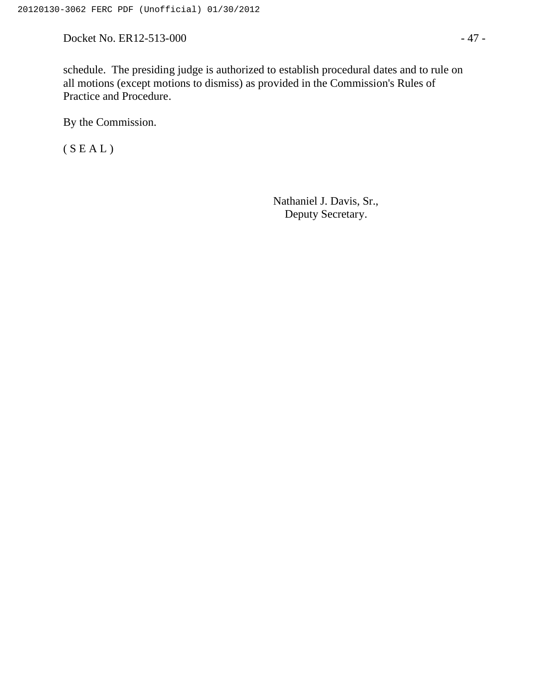Docket No. ER12-513-000 - 47 -

By the Commission.

 $(S E A L)$ 

Nathaniel J. Davis, Sr., Deputy Secretary.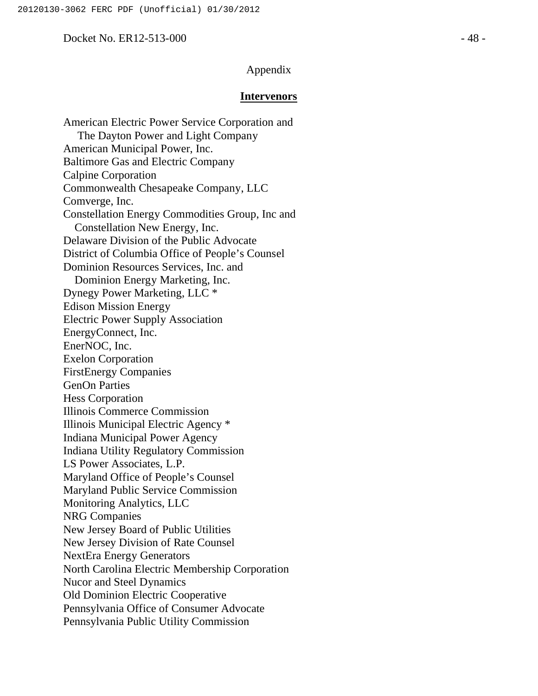#### Docket No. ER12-513-000 - 48 -

#### Appendix

#### **Intervenors**

American Electric Power Service Corporation and The Dayton Power and Light Company American Municipal Power, Inc. Baltimore Gas and Electric Company Calpine Corporation Commonwealth Chesapeake Company, LLC Comverge, Inc. Constellation Energy Commodities Group, Inc and Constellation New Energy, Inc. Delaware Division of the Public Advocate District of Columbia Office of People's Counsel Dominion Resources Services, Inc. and Dominion Energy Marketing, Inc. Dynegy Power Marketing, LLC \* Edison Mission Energy Electric Power Supply Association EnergyConnect, Inc. EnerNOC, Inc. Exelon Corporation FirstEnergy Companies GenOn Parties Hess Corporation Illinois Commerce Commission Illinois Municipal Electric Agency \* Indiana Municipal Power Agency Indiana Utility Regulatory Commission LS Power Associates, L.P. Maryland Office of People's Counsel Maryland Public Service Commission Monitoring Analytics, LLC NRG Companies New Jersey Board of Public Utilities New Jersey Division of Rate Counsel NextEra Energy Generators North Carolina Electric Membership Corporation Nucor and Steel Dynamics Old Dominion Electric Cooperative Pennsylvania Office of Consumer Advocate Pennsylvania Public Utility Commission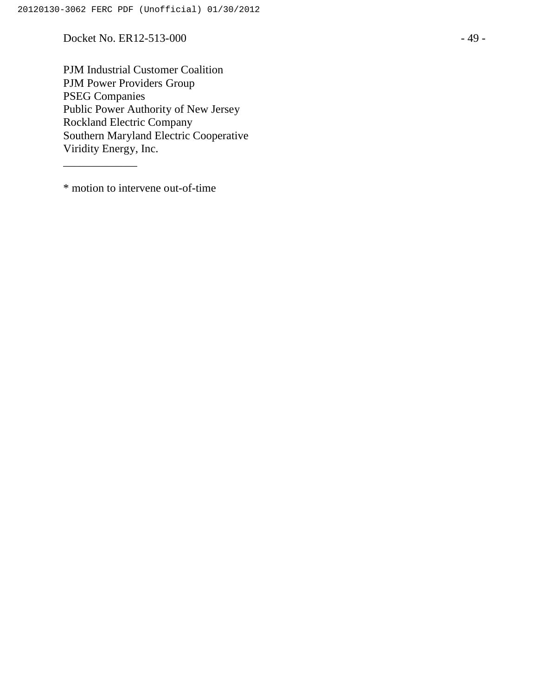Docket No. ER12-513-000 - 49 -

PJM Industrial Customer Coalition PJM Power Providers Group PSEG Companies Public Power Authority of New Jersey Rockland Electric Company Southern Maryland Electric Cooperative Viridity Energy, Inc.

\* motion to intervene out-of-time

\_\_\_\_\_\_\_\_\_\_\_\_\_